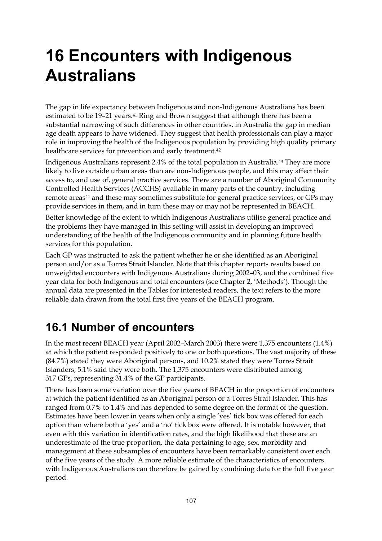# **16 Encounters with Indigenous Australians**

The gap in life expectancy between Indigenous and non-Indigenous Australians has been estimated to be 19-21 years.<sup>41</sup> Ring and Brown suggest that although there has been a substantial narrowing of such differences in other countries, in Australia the gap in median age death appears to have widened. They suggest that health professionals can play a major role in improving the health of the Indigenous population by providing high quality primary healthcare services for prevention and early treatment.<sup>42</sup>

Indigenous Australians represent 2.4% of the total population in Australia.43 They are more likely to live outside urban areas than are non-Indigenous people, and this may affect their access to, and use of, general practice services. There are a number of Aboriginal Community Controlled Health Services (ACCHS) available in many parts of the country, including remote areas<sup>44</sup> and these may sometimes substitute for general practice services, or GPs may provide services in them, and in turn these may or may not be represented in BEACH.

Better knowledge of the extent to which Indigenous Australians utilise general practice and the problems they have managed in this setting will assist in developing an improved understanding of the health of the Indigenous community and in planning future health services for this population.

Each GP was instructed to ask the patient whether he or she identified as an Aboriginal person and/or as a Torres Strait Islander. Note that this chapter reports results based on unweighted encounters with Indigenous Australians during 2002–03, and the combined five year data for both Indigenous and total encounters (see Chapter 2, 'Methods'). Though the annual data are presented in the Tables for interested readers, the text refers to the more reliable data drawn from the total first five years of the BEACH program.

## **16.1 Number of encounters**

In the most recent BEACH year (April 2002–March 2003) there were 1,375 encounters (1.4%) at which the patient responded positively to one or both questions. The vast majority of these (84.7%) stated they were Aboriginal persons, and 10.2% stated they were Torres Strait Islanders; 5.1% said they were both. The 1,375 encounters were distributed among 317 GPs, representing 31.4% of the GP participants.

There has been some variation over the five years of BEACH in the proportion of encounters at which the patient identified as an Aboriginal person or a Torres Strait Islander. This has ranged from 0.7% to 1.4% and has depended to some degree on the format of the question. Estimates have been lower in years when only a single 'yes' tick box was offered for each option than where both a 'yes' and a 'no' tick box were offered. It is notable however, that even with this variation in identification rates, and the high likelihood that these are an underestimate of the true proportion, the data pertaining to age, sex, morbidity and management at these subsamples of encounters have been remarkably consistent over each of the five years of the study. A more reliable estimate of the characteristics of encounters with Indigenous Australians can therefore be gained by combining data for the full five year period.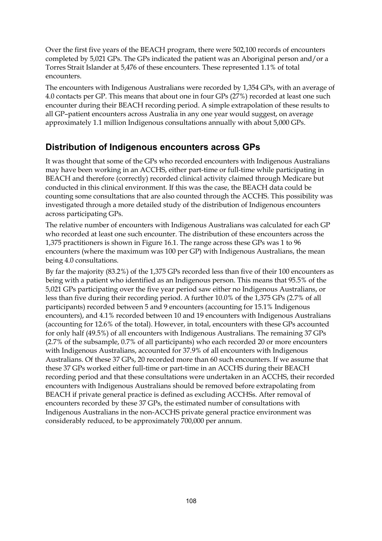Over the first five years of the BEACH program, there were 502,100 records of encounters completed by 5,021 GPs. The GPs indicated the patient was an Aboriginal person and/or a Torres Strait Islander at 5,476 of these encounters. These represented 1.1% of total encounters.

The encounters with Indigenous Australians were recorded by 1,354 GPs, with an average of 4.0 contacts per GP. This means that about one in four GPs (27%) recorded at least one such encounter during their BEACH recording period. A simple extrapolation of these results to all GP–patient encounters across Australia in any one year would suggest, on average approximately 1.1 million Indigenous consultations annually with about 5,000 GPs.

#### **Distribution of Indigenous encounters across GPs**

It was thought that some of the GPs who recorded encounters with Indigenous Australians may have been working in an ACCHS, either part-time or full-time while participating in BEACH and therefore (correctly) recorded clinical activity claimed through Medicare but conducted in this clinical environment. If this was the case, the BEACH data could be counting some consultations that are also counted through the ACCHS. This possibility was investigated through a more detailed study of the distribution of Indigenous encounters across participating GPs.

The relative number of encounters with Indigenous Australians was calculated for each GP who recorded at least one such encounter. The distribution of these encounters across the 1,375 practitioners is shown in Figure 16.1. The range across these GPs was 1 to 96 encounters (where the maximum was 100 per GP) with Indigenous Australians, the mean being 4.0 consultations.

By far the majority (83.2%) of the 1,375 GPs recorded less than five of their 100 encounters as being with a patient who identified as an Indigenous person. This means that 95.5% of the 5,021 GPs participating over the five year period saw either no Indigenous Australians, or less than five during their recording period. A further 10.0% of the 1,375 GPs (2.7% of all participants) recorded between 5 and 9 encounters (accounting for 15.1% Indigenous encounters), and 4.1% recorded between 10 and 19 encounters with Indigenous Australians (accounting for 12.6% of the total). However, in total, encounters with these GPs accounted for only half (49.5%) of all encounters with Indigenous Australians. The remaining 37 GPs (2.7% of the subsample, 0.7% of all participants) who each recorded 20 or more encounters with Indigenous Australians, accounted for 37.9% of all encounters with Indigenous Australians. Of these 37 GPs, 20 recorded more than 60 such encounters. If we assume that these 37 GPs worked either full-time or part-time in an ACCHS during their BEACH recording period and that these consultations were undertaken in an ACCHS, their recorded encounters with Indigenous Australians should be removed before extrapolating from BEACH if private general practice is defined as excluding ACCHSs. After removal of encounters recorded by these 37 GPs, the estimated number of consultations with Indigenous Australians in the non-ACCHS private general practice environment was considerably reduced, to be approximately 700,000 per annum.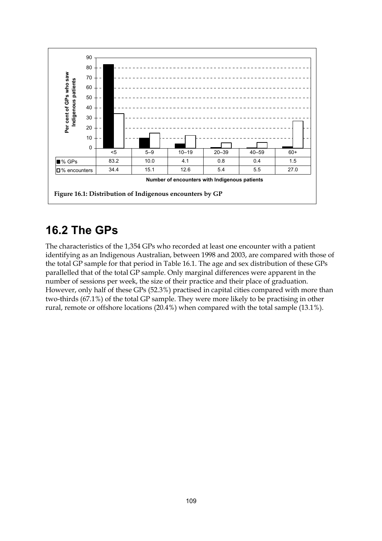

### **16.2 The GPs**

The characteristics of the 1,354 GPs who recorded at least one encounter with a patient identifying as an Indigenous Australian, between 1998 and 2003, are compared with those of the total GP sample for that period in Table 16.1. The age and sex distribution of these GPs parallelled that of the total GP sample. Only marginal differences were apparent in the number of sessions per week, the size of their practice and their place of graduation. However, only half of these GPs (52.3%) practised in capital cities compared with more than two-thirds (67.1%) of the total GP sample. They were more likely to be practising in other rural, remote or offshore locations (20.4%) when compared with the total sample (13.1%).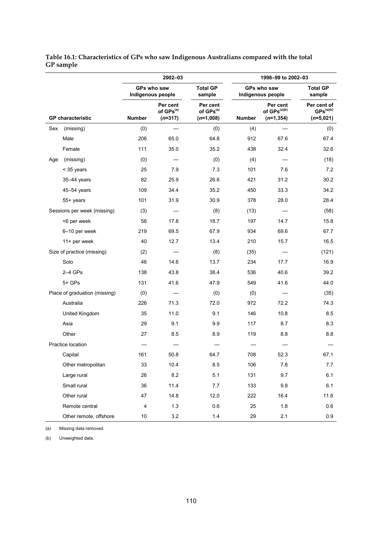|     |                               |               | 2002-03                                        |                                                  |               | 1998-99 to 2002-03                                   |                                                     |
|-----|-------------------------------|---------------|------------------------------------------------|--------------------------------------------------|---------------|------------------------------------------------------|-----------------------------------------------------|
|     |                               |               | GPs who saw<br>Indigenous people               | <b>Total GP</b><br>sample                        |               | GPs who saw<br>Indigenous people                     | <b>Total GP</b><br>sample                           |
|     | <b>GP</b> characteristic      | <b>Number</b> | Per cent<br>of GPs <sup>(a)</sup><br>$(n=317)$ | Per cent<br>of GPs <sup>(a)</sup><br>$(n=1,008)$ | <b>Number</b> | Per cent<br>of GPs <sup>(a)(b)</sup><br>$(n=1, 354)$ | Per cent of<br>$\text{GPS}^{(a)(b)}$<br>$(n=5,021)$ |
| Sex | (missing)                     | (0)           |                                                | (0)                                              | (4)           |                                                      | (0)                                                 |
|     | Male                          | 206           | 65.0                                           | 64.8                                             | 912           | 67.6                                                 | 67.4                                                |
|     | Female                        | 111           | 35.0                                           | 35.2                                             | 438           | 32.4                                                 | 32.6                                                |
| Age | (missing)                     | (0)           |                                                | (0)                                              | (4)           |                                                      | (18)                                                |
|     | < 35 years                    | 25            | 7.9                                            | 7.3                                              | 101           | 7.6                                                  | 7.2                                                 |
|     | 35-44 years                   | 82            | 25.9                                           | 26.6                                             | 421           | 31.2                                                 | 30.2                                                |
|     | 45–54 years                   | 109           | 34.4                                           | 35.2                                             | 450           | 33.3                                                 | 34.2                                                |
|     | 55+ years                     | 101           | 31.9                                           | 30.9                                             | 378           | 28.0                                                 | 28.4                                                |
|     | Sessions per week (missing)   | (3)           |                                                | (8)                                              | (13)          |                                                      | (58)                                                |
|     | <6 per week                   | 56            | 17.8                                           | 18.7                                             | 197           | 14.7                                                 | 15.8                                                |
|     | 6-10 per week                 | 219           | 69.5                                           | 67.9                                             | 934           | 69.6                                                 | 67.7                                                |
|     | 11+ per week                  | 40            | 12.7                                           | 13.4                                             | 210           | 15.7                                                 | 16.5                                                |
|     | Size of practice (missing)    | (2)           |                                                | (8)                                              | (35)          |                                                      | (121)                                               |
|     | Solo                          | 46            | 14.6                                           | 13.7                                             | 234           | 17.7                                                 | 16.9                                                |
|     | $2-4$ GPs                     | 138           | 43.8                                           | 38.4                                             | 536           | 40.6                                                 | 39.2                                                |
|     | 5+ GPs                        | 131           | 41.6                                           | 47.9                                             | 549           | 41.6                                                 | 44.0                                                |
|     | Place of graduation (missing) | (0)           |                                                | (0)                                              | (0)           |                                                      | (35)                                                |
|     | Australia                     | 226           | 71.3                                           | 72.0                                             | 972           | 72.2                                                 | 74.3                                                |
|     | United Kingdom                | 35            | 11.0                                           | 9.1                                              | 146           | 10.8                                                 | 8.5                                                 |
|     | Asia                          | 29            | 9.1                                            | 9.9                                              | 117           | 8.7                                                  | 8.3                                                 |
|     | Other                         | 27            | 8.5                                            | 8.9                                              | 119           | 8.8                                                  | 8.8                                                 |
|     | Practice location             |               |                                                |                                                  |               |                                                      |                                                     |
|     | Capital                       | 161           | 50.8                                           | 64.7                                             | 708           | 52.3                                                 | 67.1                                                |
|     | Other metropolitan            | 33            | 10.4                                           | 8.5                                              | 106           | 7.8                                                  | 7.7                                                 |
|     | Large rural                   | 26            | 8.2                                            | 5.1                                              | 131           | 9.7                                                  | 6.1                                                 |
|     | Small rural                   | 36            | 11.4                                           | 7.7                                              | 133           | $9.8\,$                                              | 6.1                                                 |
|     | Other rural                   | 47            | 14.8                                           | 12.0                                             | 222           | 16.4                                                 | 11.6                                                |
|     | Remote central                | 4             | 1.3                                            | 0.6                                              | 25            | 1.8                                                  | 0.6                                                 |
|     | Other remote, offshore        | $10\,$        | $3.2\,$                                        | $1.4$                                            | 29            | 2.1                                                  | 0.9                                                 |

**Table 16.1: Characteristics of GPs who saw Indigenous Australians compared with the total GP sample**

(a) Missing data removed.

(b) Unweighted data.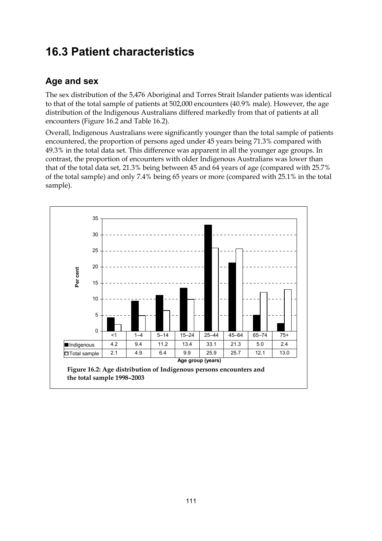# **16.3 Patient characteristics**

### **Age and sex**

The sex distribution of the 5,476 Aboriginal and Torres Strait Islander patients was identical to that of the total sample of patients at 502,000 encounters (40.9% male). However, the age distribution of the Indigenous Australians differed markedly from that of patients at all encounters (Figure 16.2 and Table 16.2).

Overall, Indigenous Australians were significantly younger than the total sample of patients encountered, the proportion of persons aged under 45 years being 71.3% compared with 49.3% in the total data set. This difference was apparent in all the younger age groups. In contrast, the proportion of encounters with older Indigenous Australians was lower than that of the total data set, 21.3% being between 45 and 64 years of age (compared with 25.7% of the total sample) and only 7.4% being 65 years or more (compared with 25.1% in the total sample).

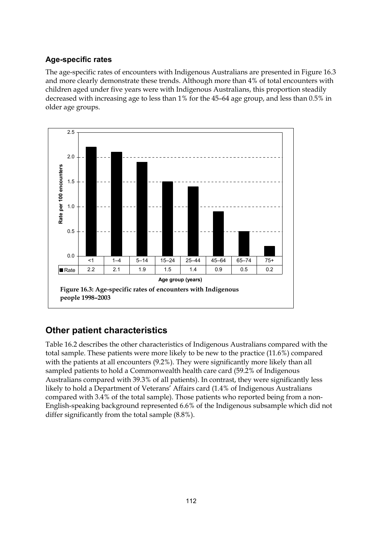#### **Age-specific rates**

The age-specific rates of encounters with Indigenous Australians are presented in Figure 16.3 and more clearly demonstrate these trends. Although more than 4% of total encounters with children aged under five years were with Indigenous Australians, this proportion steadily decreased with increasing age to less than 1% for the 45–64 age group, and less than 0.5% in older age groups.



### **Other patient characteristics**

Table 16.2 describes the other characteristics of Indigenous Australians compared with the total sample. These patients were more likely to be new to the practice (11.6%) compared with the patients at all encounters  $(9.2\%)$ . They were significantly more likely than all sampled patients to hold a Commonwealth health care card (59.2% of Indigenous Australians compared with 39.3% of all patients). In contrast, they were significantly less likely to hold a Department of Veterans' Affairs card (1.4% of Indigenous Australians compared with 3.4% of the total sample). Those patients who reported being from a non-English-speaking background represented 6.6% of the Indigenous subsample which did not differ significantly from the total sample (8.8%).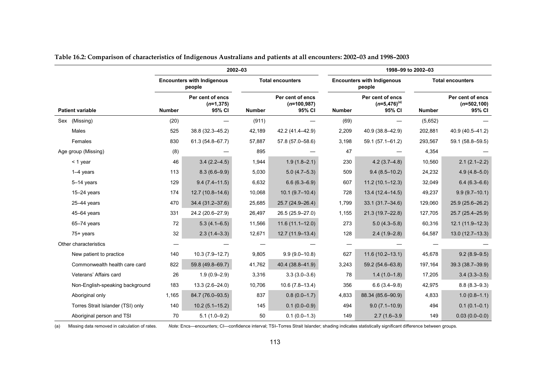|                                   |               |                                             | 2002-03       |                                             |               |                                                 | 1998-99 to 2002-03 |                                              |  |
|-----------------------------------|---------------|---------------------------------------------|---------------|---------------------------------------------|---------------|-------------------------------------------------|--------------------|----------------------------------------------|--|
|                                   |               | <b>Encounters with Indigenous</b><br>people |               | <b>Total encounters</b>                     |               | <b>Encounters with Indigenous</b><br>people     |                    | <b>Total encounters</b>                      |  |
| <b>Patient variable</b>           | <b>Number</b> | Per cent of encs<br>$(n=1, 375)$<br>95% CI  | <b>Number</b> | Per cent of encs<br>$(n=100,987)$<br>95% CI | <b>Number</b> | Per cent of encs<br>$(n=5,476)^{(a)}$<br>95% CI | <b>Number</b>      | Per cent of encs<br>$(n=502, 100)$<br>95% CI |  |
| Sex (Missing)                     | (20)          |                                             | (911)         |                                             | (69)          |                                                 | (5,652)            |                                              |  |
| Males                             | 525           | 38.8 (32.3-45.2)                            | 42,189        | 42.2 (41.4-42.9)                            | 2,209         | 40.9 (38.8-42.9)                                | 202,881            | 40.9 (40.5-41.2)                             |  |
| Females                           | 830           | 61.3 (54.8-67.7)                            | 57,887        | 57.8 (57.0-58.6)                            | 3,198         | 59.1 (57.1-61.2)                                | 293,567            | 59.1 (58.8-59.5)                             |  |
| Age group (Missing)               | (8)           |                                             | 895           |                                             | 47            |                                                 | 4,354              |                                              |  |
| $<$ 1 year                        | 46            | $3.4(2.2 - 4.5)$                            | 1,944         | $1.9(1.8 - 2.1)$                            | 230           | $4.2(3.7 - 4.8)$                                | 10,560             | $2.1(2.1 - 2.2)$                             |  |
| $1-4$ years                       | 113           | $8.3(6.6-9.9)$                              | 5,030         | $5.0(4.7-5.3)$                              | 509           | $9.4(8.5-10.2)$                                 | 24,232             | $4.9(4.8 - 5.0)$                             |  |
| 5-14 years                        | 129           | $9.4(7.4 - 11.5)$                           | 6,632         | $6.6(6.3 - 6.9)$                            | 607           | $11.2(10.1 - 12.3)$                             | 32,049             | $6.4(6.3 - 6.6)$                             |  |
| $15-24$ years                     | 174           | $12.7(10.8 - 14.6)$                         | 10,068        | $10.1(9.7-10.4)$                            | 728           | $13.4(12.4 - 14.5)$                             | 49,237             | $9.9(9.7-10.1)$                              |  |
| $25 - 44$ years                   | 470           | 34.4 (31.2-37.6)                            | 25,685        | 25.7 (24.9-26.4)                            | 1,799         | $33.1(31.7 - 34.6)$                             | 129,060            | 25.9 (25.6-26.2)                             |  |
| $45 - 64$ years                   | 331           | 24.2 (20.6-27.9)                            | 26,497        | 26.5 (25.9-27.0)                            | 1,155         | 21.3 (19.7-22.8)                                | 127,705            | 25.7 (25.4-25.9)                             |  |
| $65 - 74$ years                   | 72            | $5.3(4.1 - 6.5)$                            | 11,566        | $11.6(11.1 - 12.0)$                         | 273           | $5.0(4.3 - 5.8)$                                | 60,316             | 12.1 (11.9-12.3)                             |  |
| 75+ years                         | 32            | $2.3(1.4-3.3)$                              | 12,671        | 12.7 (11.9-13.4)                            | 128           | $2.4(1.9-2.8)$                                  | 64,587             | $13.0(12.7-13.3)$                            |  |
| Other characteristics             |               |                                             |               |                                             |               |                                                 |                    |                                              |  |
| New patient to practice           | 140           | $10.3(7.9 - 12.7)$                          | 9,805         | $9.9(9.0 - 10.8)$                           | 627           | $11.6(10.2 - 13.1)$                             | 45,678             | $9.2(8.9 - 9.5)$                             |  |
| Commonwealth health care card     | 822           | 59.8 (49.8-69.7)                            | 41,762        | 40.4 (38.8-41.9)                            | 3,243         | 59.2 (54.6-63.8)                                | 197,164            | 39.3 (38.7-39.9)                             |  |
| Veterans' Affairs card            | 26            | $1.9(0.9 - 2.9)$                            | 3,316         | $3.3(3.0 - 3.6)$                            | 78            | $1.4(1.0-1.8)$                                  | 17,205             | $3.4(3.3 - 3.5)$                             |  |
| Non-English-speaking background   | 183           | $13.3(2.6 - 24.0)$                          | 10,706        | $10.6(7.8-13.4)$                            | 356           | $6.6(3.4 - 9.8)$                                | 42,975             | $8.8(8.3 - 9.3)$                             |  |
| Aboriginal only                   | 1,165         | 84.7 (76.0-93.5)                            | 837           | $0.8(0.0-1.7)$                              | 4,833         | 88.34 (85.6-90.9)                               | 4,833              | $1.0(0.8-1.1)$                               |  |
| Torres Strait Islander (TSI) only | 140           | $10.2(5.1 - 15.2)$                          | 145           | $0.1(0.0-0.9)$                              | 494           | $9.0(7.1 - 10.9)$                               | 494                | $0.1(0.1 - 0.1)$                             |  |
| Aboriginal person and TSI         | 70            | $5.1(1.0-9.2)$                              | 50            | $0.1(0.0-1.3)$                              | 149           | $2.7(1.6 - 3.9)$                                | 149                | $0.03(0.0-0.0)$                              |  |

|  | Table 16.2: Comparison of characteristics of Indigenous Australians and patients at all encounters: 2002–03 and 1998–2003 |  |
|--|---------------------------------------------------------------------------------------------------------------------------|--|
|  |                                                                                                                           |  |

(a) Missing data removed in calculation of rates. *Note:* Encs—encounters; CI—confidence interval; TSI–Torres Strait Islander; shading indicates statistically significant difference between groups.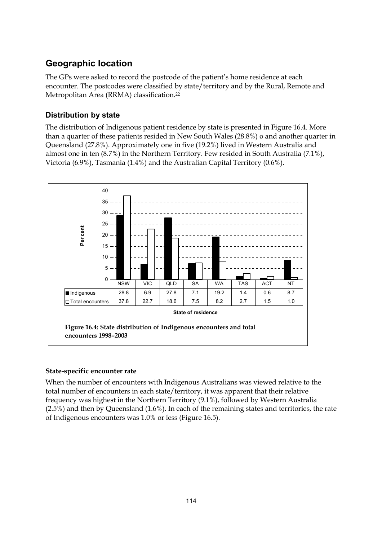### **Geographic location**

The GPs were asked to record the postcode of the patient's home residence at each encounter. The postcodes were classified by state/territory and by the Rural, Remote and Metropolitan Area (RRMA) classification.22

#### **Distribution by state**

The distribution of Indigenous patient residence by state is presented in Figure 16.4. More than a quarter of these patients resided in New South Wales (28.8%) o and another quarter in Queensland (27.8%). Approximately one in five (19.2%) lived in Western Australia and almost one in ten (8.7%) in the Northern Territory. Few resided in South Australia (7.1%), Victoria (6.9%), Tasmania (1.4%) and the Australian Capital Territory (0.6%).



#### **State-specific encounter rate**

When the number of encounters with Indigenous Australians was viewed relative to the total number of encounters in each state/territory, it was apparent that their relative frequency was highest in the Northern Territory (9.1%), followed by Western Australia (2.5%) and then by Queensland (1.6%). In each of the remaining states and territories, the rate of Indigenous encounters was 1.0% or less (Figure 16.5).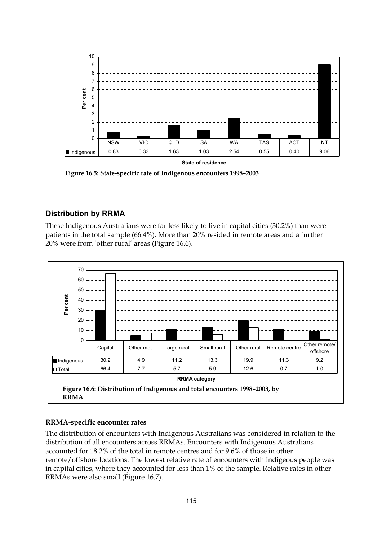

#### **Distribution by RRMA**

These Indigenous Australians were far less likely to live in capital cities (30.2%) than were patients in the total sample (66.4%). More than 20% resided in remote areas and a further 20% were from 'other rural' areas (Figure 16.6).



#### **RRMA-specific encounter rates**

The distribution of encounters with Indigenous Australians was considered in relation to the distribution of all encounters across RRMAs. Encounters with Indigenous Australians accounted for 18.2% of the total in remote centres and for 9.6% of those in other remote/offshore locations. The lowest relative rate of encounters with Indigeous people was in capital cities, where they accounted for less than 1% of the sample. Relative rates in other RRMAs were also small (Figure 16.7).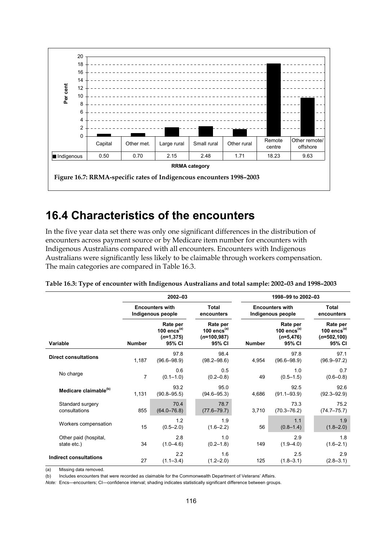

### **16.4 Characteristics of the encounters**

In the five year data set there was only one significant differences in the distribution of encounters across payment source or by Medicare item number for encounters with Indigenous Australians compared with all encounters. Encounters with Indigenous Australians were significantly less likely to be claimable through workers compensation. The main categories are compared in Table 16.3.

|                                      |                | 2002-03                                              |                                                       |               | 1998-99 to 2002-03                                   |                                                        |  |  |  |  |  |
|--------------------------------------|----------------|------------------------------------------------------|-------------------------------------------------------|---------------|------------------------------------------------------|--------------------------------------------------------|--|--|--|--|--|
|                                      |                | <b>Encounters with</b><br>Indigenous people          | <b>Total</b><br>encounters                            |               | <b>Encounters with</b><br>Indigenous people          | <b>Total</b><br>encounters                             |  |  |  |  |  |
| Variable                             | <b>Number</b>  | Rate per<br>100 encs $(a)$<br>$(n=1, 375)$<br>95% CI | Rate per<br>100 encs $(a)$<br>$(n=100,987)$<br>95% CI | <b>Number</b> | Rate per<br>100 encs $(a)$<br>$(n=5, 476)$<br>95% CI | Rate per<br>100 encs $(a)$<br>$(n=502, 100)$<br>95% CI |  |  |  |  |  |
| <b>Direct consultations</b>          | 1,187          | 97.8<br>$(96.6 - 98.9)$                              | 98.4<br>$(98.2 - 98.6)$                               | 4,954         | 97.8<br>$(96.6 - 98.9)$                              | 97.1<br>$(96.9 - 97.2)$                                |  |  |  |  |  |
| No charge                            | $\overline{7}$ | 0.6<br>$(0.1 - 1.0)$                                 | 0.5<br>$(0.2 - 0.8)$                                  | 49            | 1.0<br>$(0.5 - 1.5)$                                 | 0.7<br>$(0.6 - 0.8)$                                   |  |  |  |  |  |
| Medicare claimable <sup>(b)</sup>    | 1,131          | 93.2<br>$(90.8 - 95.5)$                              | 95.0<br>$(94.6 - 95.3)$                               | 4,686         | 92.5<br>$(91.1 - 93.9)$                              | 92.6<br>$(92.3 - 92.9)$                                |  |  |  |  |  |
| Standard surgery<br>consultations    | 855            | 70.4<br>$(64.0 - 76.8)$                              | 78.7<br>$(77.6 - 79.7)$                               | 3,710         | 73.3<br>$(70.3 - 76.2)$                              | 75.2<br>$(74.7 - 75.7)$                                |  |  |  |  |  |
| Workers compensation                 | 15             | 1.2<br>$(0.5 - 2.0)$                                 | 1.9<br>$(1.6 - 2.2)$                                  | 56            | 1.1<br>$(0.8 - 1.4)$                                 | 1.9<br>$(1.8 - 2.0)$                                   |  |  |  |  |  |
| Other paid (hospital,<br>state etc.) | 34             | 2.8<br>$(1.0 - 4.6)$                                 | 1.0<br>$(0.2 - 1.8)$                                  | 149           | 2.9<br>$(1.9 - 4.0)$                                 | 1.8<br>$(1.6 - 2.1)$                                   |  |  |  |  |  |
| Indirect consultations               | 27             | 2.2<br>$(1.1 - 3.4)$                                 | 1.6<br>$(1.2 - 2.0)$                                  | 125           | 2.5<br>$(1.8 - 3.1)$                                 | 2.9<br>$(2.8 - 3.1)$                                   |  |  |  |  |  |

**Table 16.3: Type of encounter with Indigenous Australians and total sample: 2002–03 and 1998–2003**

(a) Missing data removed.

(b) Includes encounters that were recorded as claimable for the Commonwealth Department of Veterans' Affairs.

*Note:* Encs—encounters; CI—confidence interval; shading indicates statistically significant difference between groups.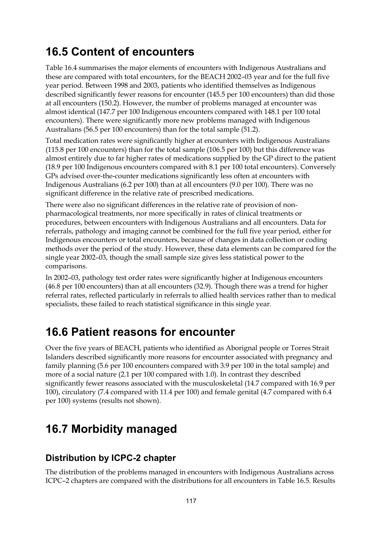### **16.5 Content of encounters**

Table 16.4 summarises the major elements of encounters with Indigenous Australians and these are compared with total encounters, for the BEACH 2002–03 year and for the full five year period. Between 1998 and 2003, patients who identified themselves as Indigenous described significantly fewer reasons for encounter (145.5 per 100 encounters) than did those at all encounters (150.2). However, the number of problems managed at encounter was almost identical (147.7 per 100 Indigenous encounters compared with 148.1 per 100 total encounters). There were significantly more new problems managed with Indigenous Australians (56.5 per 100 encounters) than for the total sample (51.2).

Total medication rates were significantly higher at encounters with Indigenous Australians (115.8 per 100 encounters) than for the total sample (106.5 per 100) but this difference was almost entirely due to far higher rates of medications supplied by the GP direct to the patient (18.9 per 100 Indigenous encounters compared with 8.1 per 100 total encounters). Conversely GPs advised over-the-counter medications significantly less often at encounters with Indigenous Australians (6.2 per 100) than at all encounters (9.0 per 100). There was no significant difference in the relative rate of prescribed medications.

There were also no significant differences in the relative rate of provision of nonpharmacological treatments, nor more specifically in rates of clinical treatments or procedures, between encounters with Indigenous Australians and all encounters. Data for referrals, pathology and imaging cannot be combined for the full five year period, either for Indigenous encounters or total encounters, because of changes in data collection or coding methods over the period of the study. However, these data elements can be compared for the single year 2002–03, though the small sample size gives less statistical power to the comparisons.

In 2002–03, pathology test order rates were significantly higher at Indigenous encounters (46.8 per 100 encounters) than at all encounters (32.9). Though there was a trend for higher referral rates, reflected particularly in referrals to allied health services rather than to medical specialists, these failed to reach statistical significance in this single year.

## **16.6 Patient reasons for encounter**

Over the five years of BEACH, patients who identified as Aborignal people or Torres Strait Islanders described significantly more reasons for encounter associated with pregnancy and family planning (5.6 per 100 encounters compared with 3.9 per 100 in the total sample) and more of a social nature (2.1 per 100 compared with 1.0). In contrast they described significantly fewer reasons associated with the musculoskeletal (14.7 compared with 16.9 per 100), circulatory (7.4 compared with 11.4 per 100) and female genital (4.7 compared with 6.4 per 100) systems (results not shown).

# **16.7 Morbidity managed**

### **Distribution by ICPC-2 chapter**

The distribution of the problems managed in encounters with Indigenous Australians across ICPC–2 chapters are compared with the distributions for all encounters in Table 16.5. Results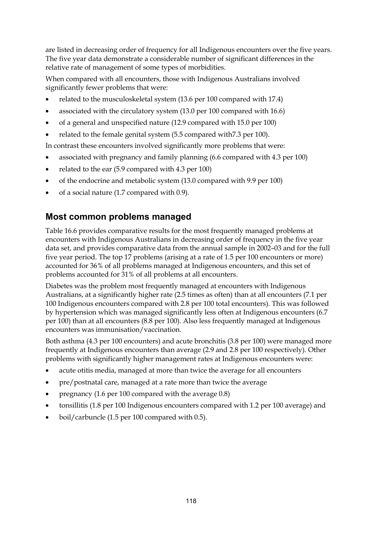are listed in decreasing order of frequency for all Indigenous encounters over the five years. The five year data demonstrate a considerable number of significant differences in the relative rate of management of some types of morbidities.

When compared with all encounters, those with Indigenous Australians involved significantly fewer problems that were:

- related to the musculoskeletal system (13.6 per 100 compared with 17.4)
- associated with the circulatory system (13.0 per 100 compared with 16.6)
- of a general and unspecified nature (12.9 compared with 15.0 per 100)
- related to the female genital system (5.5 compared with 7.3 per 100).

In contrast these encounters involved significantly more problems that were:

- associated with pregnancy and family planning (6.6 compared with 4.3 per 100)
- related to the ear  $(5.9 \text{ compared with } 4.3 \text{ per } 100)$
- of the endocrine and metabolic system (13.0 compared with 9.9 per 100)
- $\bullet$  of a social nature (1.7 compared with 0.9).

### **Most common problems managed**

Table 16.6 provides comparative results for the most frequently managed problems at encounters with Indigenous Australians in decreasing order of frequency in the five year data set, and provides comparative data from the annual sample in 2002–03 and for the full five year period. The top 17 problems (arising at a rate of 1.5 per 100 encounters or more) accounted for 36% of all problems managed at Indigenous encounters, and this set of problems accounted for 31% of all problems at all encounters.

Diabetes was the problem most frequently managed at encounters with Indigenous Australians, at a significantly higher rate (2.5 times as often) than at all encounters (7.1 per 100 Indigenous encounters compared with 2.8 per 100 total encounters). This was followed by hypertension which was managed significantly less often at Indigenous encounters (6.7 per 100) than at all encounters (8.8 per 100). Also less frequently managed at Indigenous encounters was immunisation/vaccination.

Both asthma (4.3 per 100 encounters) and acute bronchitis (3.8 per 100) were managed more frequently at Indigenous encounters than average (2.9 and 2.8 per 100 respectively). Other problems with significantly higher management rates at Indigenous encounters were:

- acute otitis media, managed at more than twice the average for all encounters
- pre/postnatal care, managed at a rate more than twice the average
- pregnancy  $(1.6 \text{ per } 100 \text{ compared with the average } 0.8)$
- tonsillitis (1.8 per 100 Indigenous encounters compared with 1.2 per 100 average) and
- boil/carbuncle (1.5 per 100 compared with 0.5).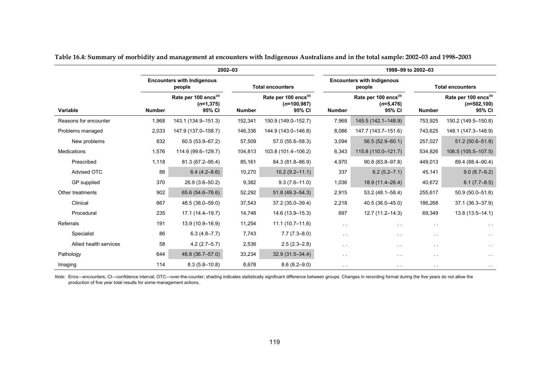|                        |               |                                                            | 2002-03       |                                                             |               | 1998-99 to 2002-03                                         |               |                                                              |  |  |
|------------------------|---------------|------------------------------------------------------------|---------------|-------------------------------------------------------------|---------------|------------------------------------------------------------|---------------|--------------------------------------------------------------|--|--|
|                        |               | <b>Encounters with Indigenous</b><br>people                |               | <b>Total encounters</b>                                     |               | <b>Encounters with Indigenous</b><br>people                |               | <b>Total encounters</b>                                      |  |  |
| Variable               | <b>Number</b> | Rate per 100 encs <sup>(a)</sup><br>$(n=1, 375)$<br>95% CI | <b>Number</b> | Rate per 100 encs <sup>(a)</sup><br>$(n=100,987)$<br>95% CI | <b>Number</b> | Rate per 100 encs <sup>(a)</sup><br>$(n=5, 476)$<br>95% CI | <b>Number</b> | Rate per 100 encs <sup>(a)</sup><br>$(n=502, 100)$<br>95% CI |  |  |
| Reasons for encounter  | 1,968         | 143.1 (134.9-151.3)                                        | 152,341       | 150.9 (149.0-152.7)                                         | 7,968         | 145.5 (142.1-148.9)                                        | 753,925       | 150.2 (149.5-150.8)                                          |  |  |
| Problems managed       | 2,033         | 147.9 (137.0-158.7)                                        | 146,336       | 144.9 (143.0-146.8)                                         | 8,086         | 147.7 (143.7-151.6)                                        | 743,625       | 148.1 (147.3-148.9)                                          |  |  |
| New problems           | 832           | 60.5 (53.9-67.2)                                           | 57,509        | $57.0(55.6 - 58.3)$                                         | 3,094         | $56.5(52.9 - 60.1)$                                        | 257,027       | $51.2(50.6 - 51.8)$                                          |  |  |
| <b>Medications</b>     | 1,576         | 114.6 (99.6-129.7)                                         | 104,813       | 103.8 (101.4-106.2)                                         | 6,343         | 115.8 (110.0-121.7)                                        | 534,826       | 106.5 (105.5-107.5)                                          |  |  |
| Prescribed             | 1,118         | 81.3 (67.2-95.4)                                           | 85,161        | 84.3 (81.8-86.9)                                            | 4,970         | 90.8 (83.8-97.8)                                           | 449,013       | 89.4 (88.4-90.4)                                             |  |  |
| Advised OTC            | 88            | $6.4(4.2 - 8.6)$                                           | 10,270        | $10.2(9.2 - 11.1)$                                          | 337           | $6.2(5.2 - 7.1)$                                           | 45,141        | $9.0(8.7 - 9.2)$                                             |  |  |
| GP supplied            | 370           | 26.9 (3.6-50.2)                                            | 9,382         | $9.3(7.6 - 11.0)$                                           | 1,036         | 18.9 (11.4-26.4)                                           | 40,672        | $8.1(7.7 - 8.5)$                                             |  |  |
| Other treatments       | 902           | 65.6 (54.6-76.6)                                           | 52,292        | $51.8(49.3 - 54.3)$                                         | 2,915         | $53.2(48.1 - 58.4)$                                        | 255,617       | 50.9 (50.0-51.8)                                             |  |  |
| Clinical               | 667           | 48.5 (38.0-59.0)                                           | 37,543        | 37.2 (35.0-39.4)                                            | 2,218         | 40.5 (36.0-45.0)                                           | 186,268       | 37.1 (36.3-37.9)                                             |  |  |
| Procedural             | 235           | 17.1 (14.4-19.7)                                           | 14,748        | 14.6 (13.9-15.3)                                            | 697           | $12.7(11.2 - 14.3)$                                        | 69,349        | $13.8(13.5 - 14.1)$                                          |  |  |
| Referrals              | 191           | 13.9 (10.9-16.9)                                           | 11,254        | $11.1(10.7 - 11.6)$                                         | $\sim$ $\sim$ | $\sim$                                                     | $\sim$ $\sim$ |                                                              |  |  |
| Specialist             | 86            | $6.3(4.8 - 7.7)$                                           | 7,743         | $7.7(7.3 - 8.0)$                                            | $\sim$ $\sim$ | $\sim$ $\sim$                                              | $\sim$ $\sim$ |                                                              |  |  |
| Allied health services | 58            | $4.2(2.7-5.7)$                                             | 2,536         | $2.5(2.3 - 2.8)$                                            | $\sim$ $\sim$ | $\sim$ $\sim$                                              | $\sim$ $\sim$ | $\sim$                                                       |  |  |
| Pathology              | 644           | 46.8 (36.7-57.0)                                           | 33,234        | $32.9(31.5 - 34.4)$                                         | $\sim$ $\sim$ | $\ddotsc$                                                  | $\sim$ $\sim$ | $\sim$                                                       |  |  |
| Imaging                | 114           | $8.3(5.8 - 10.8)$                                          | 8,678         | $8.6(8.2 - 9.0)$                                            | $\sim$        | $\sim$ $\sim$                                              | $\sim$ $-$    | $\sim$                                                       |  |  |

**Table 16.4: Summary of morbidity and management at encounters with Indigenous Australians and in the total sample: 2002–03 and 1998–2003**

*Note:* Encs—encounters; CI—confidence interval; OTC—over-the-counter; shading indicates statistically significant difference between groups. Changes in recording format during the five years do not allow the production of five year total results for some management actions.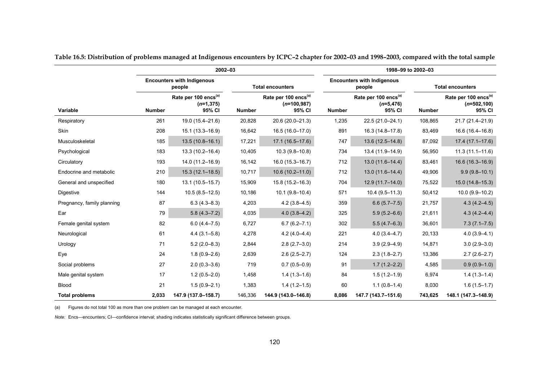|                            |               | 2002-03                                                    |               |                                                              |               |                                                            | 1998-99 to 2002-03 |                                                              |
|----------------------------|---------------|------------------------------------------------------------|---------------|--------------------------------------------------------------|---------------|------------------------------------------------------------|--------------------|--------------------------------------------------------------|
|                            |               | <b>Encounters with Indigenous</b><br>people                |               | <b>Total encounters</b>                                      |               | <b>Encounters with Indigenous</b><br>people                |                    | <b>Total encounters</b>                                      |
| Variable                   | <b>Number</b> | Rate per 100 encs <sup>(a)</sup><br>$(n=1, 375)$<br>95% CI | <b>Number</b> | Rate per 100 encs <sup>(a)</sup><br>$(n=100, 987)$<br>95% CI | <b>Number</b> | Rate per 100 encs <sup>(a)</sup><br>$(n=5, 476)$<br>95% CI | <b>Number</b>      | Rate per 100 encs <sup>(a)</sup><br>$(n=502, 100)$<br>95% CI |
| Respiratory                | 261           | 19.0 (15.4-21.6)                                           | 20,828        | 20.6 (20.0-21.3)                                             | 1,235         | 22.5 (21.0-24.1)                                           | 108,865            | 21.7 (21.4-21.9)                                             |
| Skin                       | 208           | 15.1 (13.3-16.9)                                           | 16,642        | 16.5 (16.0-17.0)                                             | 891           | 16.3 (14.8-17.8)                                           | 83,469             | 16.6 (16.4-16.8)                                             |
| Musculoskeletal            | 185           | $13.5(10.8 - 16.1)$                                        | 17,221        | $17.1(16.5 - 17.6)$                                          | 747           | 13.6 (12.5-14.8)                                           | 87,092             | $17.4(17.1 - 17.6)$                                          |
| Psychological              | 183           | 13.3 (10.2-16.4)                                           | 10,405        | $10.3(9.8 - 10.8)$                                           | 734           | 13.4 (11.9-14.9)                                           | 56,950             | $11.3(11.1 - 11.6)$                                          |
| Circulatory                | 193           | 14.0 (11.2-16.9)                                           | 16,142        | 16.0 (15.3-16.7)                                             | 712           | 13.0 (11.6-14.4)                                           | 83,461             | 16.6 (16.3-16.9)                                             |
| Endocrine and metabolic    | 210           | $15.3(12.1 - 18.5)$                                        | 10,717        | $10.6(10.2 - 11.0)$                                          | 712           | $13.0(11.6 - 14.4)$                                        | 49,906             | $9.9(9.8 - 10.1)$                                            |
| General and unspecified    | 180           | 13.1 (10.5-15.7)                                           | 15,909        | 15.8 (15.2-16.3)                                             | 704           | $12.9(11.7-14.0)$                                          | 75,522             | $15.0(14.8 - 15.3)$                                          |
| Digestive                  | 144           | $10.5(8.5 - 12.5)$                                         | 10,186        | $10.1(9.8 - 10.4)$                                           | 571           | $10.4(9.5 - 11.3)$                                         | 50,412             | $10.0(9.9 - 10.2)$                                           |
| Pregnancy, family planning | 87            | $6.3(4.3 - 8.3)$                                           | 4,203         | $4.2(3.8 - 4.5)$                                             | 359           | $6.6(5.7 - 7.5)$                                           | 21,757             | $4.3(4.2 - 4.5)$                                             |
| Ear                        | 79            | $5.8(4.3 - 7.2)$                                           | 4,035         | $4.0(3.8 - 4.2)$                                             | 325           | $5.9(5.2 - 6.6)$                                           | 21,611             | $4.3(4.2 - 4.4)$                                             |
| Female genital system      | 82            | $6.0(4.4 - 7.5)$                                           | 6,727         | $6.7(6.2 - 7.1)$                                             | 302           | $5.5(4.7-6.3)$                                             | 36,601             | $7.3(7.1 - 7.5)$                                             |
| Neurological               | 61            | $4.4(3.1 - 5.8)$                                           | 4,278         | $4.2(4.0 - 4.4)$                                             | 221           | $4.0(3.4 - 4.7)$                                           | 20,133             | $4.0(3.9 - 4.1)$                                             |
| Urology                    | 71            | $5.2(2.0 - 8.3)$                                           | 2,844         | $2.8(2.7-3.0)$                                               | 214           | $3.9(2.9 - 4.9)$                                           | 14,871             | $3.0(2.9 - 3.0)$                                             |
| Eye                        | 24            | $1.8(0.9 - 2.6)$                                           | 2,639         | $2.6(2.5 - 2.7)$                                             | 124           | $2.3(1.8 - 2.7)$                                           | 13,386             | $2.7(2.6 - 2.7)$                                             |
| Social problems            | 27            | $2.0(0.3 - 3.6)$                                           | 719           | $0.7(0.5 - 0.9)$                                             | 91            | $1.7(1.2 - 2.2)$                                           | 4,585              | $0.9(0.9-1.0)$                                               |
| Male genital system        | 17            | $1.2(0.5 - 2.0)$                                           | 1,458         | $1.4(1.3-1.6)$                                               | 84            | $1.5(1.2 - 1.9)$                                           | 6,974              | $1.4(1.3-1.4)$                                               |
| <b>Blood</b>               | 21            | $1.5(0.9 - 2.1)$                                           | 1,383         | $1.4(1.2 - 1.5)$                                             | 60            | $1.1(0.8-1.4)$                                             | 8,030              | $1.6(1.5-1.7)$                                               |
| <b>Total problems</b>      | 2,033         | 147.9 (137.0-158.7)                                        | 146,336       | 144.9 (143.0-146.8)                                          | 8,086         | 147.7 (143.7-151.6)                                        | 743,625            | 148.1 (147.3-148.9)                                          |

**Table 16.5: Distribution of problems managed at Indigenous encounters by ICPC–2 chapter for 2002–03 and 1998–2003, compared with the total sample**

(a) Figures do not total 100 as more than one problem can be managed at each encounter.

*Note:* Encs—encounters; CI—confidence interval; shading indicates statistically significant difference between groups.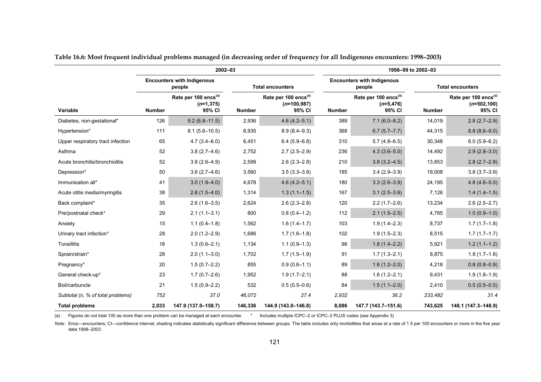|                                   |                                             | 2002-03                                                    |               |                                                             |               | 1998-99 to 2002-03                                         |                         |                                                              |  |  |
|-----------------------------------|---------------------------------------------|------------------------------------------------------------|---------------|-------------------------------------------------------------|---------------|------------------------------------------------------------|-------------------------|--------------------------------------------------------------|--|--|
|                                   | <b>Encounters with Indigenous</b><br>people |                                                            |               | <b>Total encounters</b>                                     |               | <b>Encounters with Indigenous</b><br>people                | <b>Total encounters</b> |                                                              |  |  |
| Variable                          | <b>Number</b>                               | Rate per 100 encs <sup>(a)</sup><br>$(n=1, 375)$<br>95% CI | <b>Number</b> | Rate per 100 encs <sup>(a)</sup><br>$(n=100,987)$<br>95% CI | <b>Number</b> | Rate per 100 encs <sup>(a)</sup><br>$(n=5, 476)$<br>95% CI | <b>Number</b>           | Rate per 100 encs <sup>(a)</sup><br>$(n=502, 100)$<br>95% CI |  |  |
| Diabetes, non-gestational*        | 126                                         | $9.2(6.8 - 11.5)$                                          | 2,936         | $4.6(4.2 - 5.1)$                                            | 389           | $7.1(6.0 - 8.2)$                                           | 14,019                  | $2.8(2.7-2.9)$                                               |  |  |
| Hypertension*                     | 111                                         | $8.1(5.6 - 10.5)$                                          | 8,935         | $8.9(8.4 - 9.3)$                                            | 368           | $6.7(5.7 - 7.7)$                                           | 44,315                  | $8.8(8.6 - 9.0)$                                             |  |  |
| Upper respiratory tract infection | 65                                          | $4.7(3.4 - 6.0)$                                           | 6,451         | $6.4(5.9 - 6.8)$                                            | 310           | $5.7(4.8 - 6.5)$                                           | 30,348                  | $6.0(5.9 - 6.2)$                                             |  |  |
| Asthma                            | 52                                          | $3.8(2.7 - 4.6)$                                           | 2,752         | $2.7(2.5 - 2.9)$                                            | 236           | $4.3(3.6 - 5.0)$                                           | 14,492                  | $2.9(2.8-3.0)$                                               |  |  |
| Acute bronchitis/bronchiolitis    | 52                                          | $3.8(2.6-4.9)$                                             | 2,599         | $2.6(2.3 - 2.8)$                                            | 210           | $3.8(3.2 - 4.5)$                                           | 13,853                  | $2.8(2.7-2.8)$                                               |  |  |
| Depression*                       | 50                                          | $3.6(2.7-4.6)$                                             | 3,560         | $3.5(3.3 - 3.8)$                                            | 185           | $3.4(2.9 - 3.9)$                                           | 19,008                  | $3.8(3.7 - 3.9)$                                             |  |  |
| Immunisation all*                 | 41                                          | $3.0(1.9-4.0)$                                             | 4,678         | $4.6(4.2 - 5.1)$                                            | 180           | $3.3(2.6 - 3.9)$                                           | 24,195                  | $4.8(4.6 - 5.0)$                                             |  |  |
| Acute otitis media/myringitis     | 38                                          | $2.8(1.5-4.0)$                                             | 1,314         | $1.3(1.1-1.5)$                                              | 167           | $3.1(2.5-3.6)$                                             | 7,126                   | $1.4(1.4-1.5)$                                               |  |  |
| Back complaint*                   | 35                                          | $2.6(1.6-3.5)$                                             | 2,624         | $2.6(2.3 - 2.8)$                                            | 120           | $2.2(1.7-2.6)$                                             | 13,234                  | $2.6(2.5 - 2.7)$                                             |  |  |
| Pre/postnatal check*              | 29                                          | $2.1(1.1-3.1)$                                             | 800           | $0.8(0.4 - 1.2)$                                            | 112           | $2.1(1.5-2.5)$                                             | 4,785                   | $1.0(0.9-1.0)$                                               |  |  |
| Anxiety                           | 15                                          | $1.1(0.4-1.8)$                                             | 1,562         | $1.6(1.4 - 1.7)$                                            | 103           | $1.9(1.4 - 2.3)$                                           | 8,737                   | $1.7(1.7-1.8)$                                               |  |  |
| Urinary tract infection*          | 28                                          | $2.0(1.2 - 2.9)$                                           | 1,686         | $1.7(1.6-1.8)$                                              | 102           | $1.9(1.5 - 2.3)$                                           | 8,515                   | $1.7(1.7-1.7)$                                               |  |  |
| Tonsillitis                       | 18                                          | $1.3(0.6 - 2.1)$                                           | 1,134         | $1.1(0.9-1.3)$                                              | 98            | $1.8(1.4 - 2.2)$                                           | 5,921                   | $1.2(1.1-1.2)$                                               |  |  |
| Sprain/strain*                    | 28                                          | $2.0(1.1 - 3.0)$                                           | 1,702         | $1.7(1.5-1.9)$                                              | 91            | $1.7(1.3 - 2.1)$                                           | 8,875                   | $1.8(1.7-1.8)$                                               |  |  |
| Pregnancy*                        | 20                                          | $1.5(0.7-2.2)$                                             | 855           | $0.9(0.6-1.1)$                                              | 89            | $1.6(1.2 - 2.0)$                                           | 4,218                   | $0.8(0.8-0.9)$                                               |  |  |
| General check-up*                 | 23                                          | $1.7(0.7-2.6)$                                             | 1,952         | $1.9(1.7-2.1)$                                              | 88            | $1.6(1.2 - 2.1)$                                           | 9,431                   | $1.9(1.8-1.9)$                                               |  |  |
| Boil/carbuncle                    | 21                                          | $1.5(0.9 - 2.2)$                                           | 532           | $0.5(0.5-0.6)$                                              | 84            | $1.5(1.1 - 2.0)$                                           | 2,410                   | $0.5(0.5-0.5)$                                               |  |  |
| Subtotal (n, % of total problems) | 752                                         | 37.0                                                       | 46,072        | 27.4                                                        | 2,932         | 36.2                                                       | 233,482                 | 31.4                                                         |  |  |
| <b>Total problems</b>             | 2,033                                       | 147.9 (137.0-158.7)                                        | 146,336       | 144.9 (143.0-146.8)                                         | 8,086         | 147.7 (143.7-151.6)                                        | 743,625                 | 148.1 (147.3-148.9)                                          |  |  |

**Table 16.6: Most frequent individual problems managed (in decreasing order of frequency for all Indigenous encounters: 1998–2003)**

(a) Figures do not total 100 as more than one problem can be managed at each encounter. \* Includes multiple ICPC–2 or ICPC–2 PLUS codes (see Appendix 3)

Note: Encs—encounters; CI—confidence interval; shading indicates statistically significant difference between groups. The table includes only morbidities that arose at a rate of 1.5 per 100 encounters or more in the five y data 1998–2003.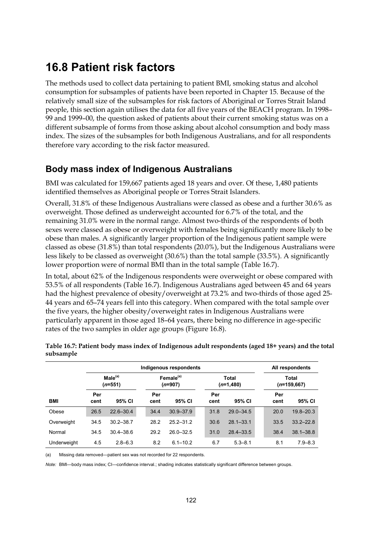### **16.8 Patient risk factors**

The methods used to collect data pertaining to patient BMI, smoking status and alcohol consumption for subsamples of patients have been reported in Chapter 15. Because of the relatively small size of the subsamples for risk factors of Aboriginal or Torres Strait Island people, this section again utilises the data for all five years of the BEACH program. In 1998– 99 and 1999–00, the question asked of patients about their current smoking status was on a different subsample of forms from those asking about alcohol consumption and body mass index. The sizes of the subsamples for both Indigenous Australians, and for all respondents therefore vary according to the risk factor measured.

### **Body mass index of Indigenous Australians**

BMI was calculated for 159,667 patients aged 18 years and over. Of these, 1,480 patients identified themselves as Aboriginal people or Torres Strait Islanders.

Overall, 31.8% of these Indigenous Australians were classed as obese and a further 30.6% as overweight. Those defined as underweight accounted for 6.7% of the total, and the remaining 31.0% were in the normal range. Almost two-thirds of the respondents of both sexes were classed as obese or overweight with females being significantly more likely to be obese than males. A significantly larger proportion of the Indigenous patient sample were classed as obese (31.8%) than total respondents (20.0%), but the Indigenous Australians were less likely to be classed as overweight (30.6%) than the total sample (33.5%). A significantly lower proportion were of normal BMI than in the total sample (Table 16.7).

In total, about 62% of the Indigenous respondents were overweight or obese compared with 53.5% of all respondents (Table 16.7). Indigenous Australians aged between 45 and 64 years had the highest prevalence of obesity/overweight at 73.2% and two-thirds of those aged 25- 44 years and 65–74 years fell into this category. When compared with the total sample over the five years, the higher obesity/overweight rates in Indigenous Australians were particularly apparent in those aged 18–64 years, there being no difference in age-specific rates of the two samples in older age groups (Figure 16.8).

|             |                                                           |               | All respondents |                                    |  |             |                      |  |             |                        |  |  |
|-------------|-----------------------------------------------------------|---------------|-----------------|------------------------------------|--|-------------|----------------------|--|-------------|------------------------|--|--|
|             | Male <sup>(a)</sup><br>$(n=551)$<br>Per<br>95% CI<br>cent |               |                 | Female <sup>(a)</sup><br>$(n=907)$ |  |             | Total<br>$(n=1,480)$ |  |             | Total<br>$(n=159,667)$ |  |  |
| <b>BMI</b>  |                                                           |               | Per<br>cent     | 95% CI                             |  | Per<br>cent | 95% CI               |  | Per<br>cent | 95% CI                 |  |  |
| Obese       | 26.5                                                      | $22.6 - 30.4$ | 34.4            | $30.9 - 37.9$                      |  | 31.8        | $29.0 - 34.5$        |  | 20.0        | $19.8 - 20.3$          |  |  |
| Overweight  | 34.5                                                      | $30.2 - 38.7$ | 28.2            | $25.2 - 31.2$                      |  | 30.6        | $28.1 - 33.1$        |  | 33.5        | $33.2 - 22.8$          |  |  |
| Normal      | 34.5                                                      | $30.4 - 38.6$ | 29.2            | $26.0 - 32.5$                      |  | 31.0        | $28.4 - 33.5$        |  | 38.4        | $38.1 - 38.8$          |  |  |
| Underweight | 4.5                                                       | $2.8 - 6.3$   | 8.2             | $6.1 - 10.2$                       |  | 6.7         | $5.3 - 8.1$          |  | 8.1         | $7.9 - 8.3$            |  |  |

**Table 16.7: Patient body mass index of Indigenous adult respondents (aged 18+ years) and the total subsample**

(a) Missing data removed—patient sex was not recorded for 22 respondents.

*Note:* BMI—body mass index; CI—confidence interval.; shading indicates statistically significant difference between groups.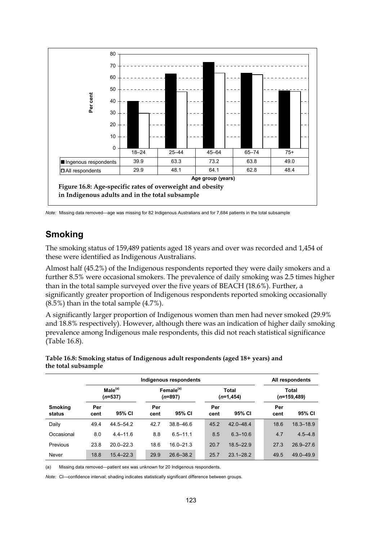

*Note:* Missing data removed—age was missing for 82 Indigenous Australians and for 7,684 patients in the total subsample

### **Smoking**

The smoking status of 159,489 patients aged 18 years and over was recorded and 1,454 of these were identified as Indigenous Australians.

Almost half (45.2%) of the Indigenous respondents reported they were daily smokers and a further 8.5% were occasional smokers. The prevalence of daily smoking was 2.5 times higher than in the total sample surveyed over the five years of BEACH (18.6%). Further, a significantly greater proportion of Indigenous respondents reported smoking occasionally (8.5%) than in the total sample (4.7%).

A significantly larger proportion of Indigenous women than men had never smoked (29.9% and 18.8% respectively). However, although there was an indication of higher daily smoking prevalence among Indigenous male respondents, this did not reach statistical significance (Table 16.8).

**Table 16.8: Smoking status of Indigenous adult respondents (aged 18+ years) and the total subsample**

|                          | Indigenous respondents           |               |                                    |               |      |                              |               |  |                         |               |  |
|--------------------------|----------------------------------|---------------|------------------------------------|---------------|------|------------------------------|---------------|--|-------------------------|---------------|--|
|                          | Male <sup>(a)</sup><br>$(n=537)$ |               | Female <sup>(a)</sup><br>$(n=897)$ |               |      | <b>Total</b><br>$(n=1, 454)$ |               |  | Total<br>$(n=159, 489)$ |               |  |
| <b>Smoking</b><br>status | Per<br>cent                      | 95% CI        | Per<br>cent                        | 95% CI        | cent | Per                          | 95% CI        |  | Per<br>cent             | 95% CI        |  |
| Daily                    | 49.4                             | 44.5-54.2     | 42.7                               | $38.8 - 46.6$ | 45.2 |                              | $42.0 - 48.4$ |  | 18.6                    | $18.3 - 18.9$ |  |
| Occasional               | 8.0                              | $44 - 116$    | 8.8                                | $65 - 111$    |      | 8.5                          | $6.3 - 10.6$  |  | 4.7                     | $4.5 - 4.8$   |  |
| Previous                 | 23.8                             | $20.0 - 22.3$ | 18.6                               | $160 - 213$   | 20.7 |                              | $18.5 - 22.9$ |  | 27.3                    | $26.9 - 27.6$ |  |
| Never                    | 18.8                             | $15.4 - 22.3$ | 29.9                               | $26.6 - 38.2$ | 25.7 |                              | $23.1 - 28.2$ |  | 49.5                    | 49.0-49.9     |  |

(a) Missing data removed—patient sex was unknown for 20 Indigenous respondents.

*Note:* CI—confidence interval; shading indicates statistically significant difference between groups.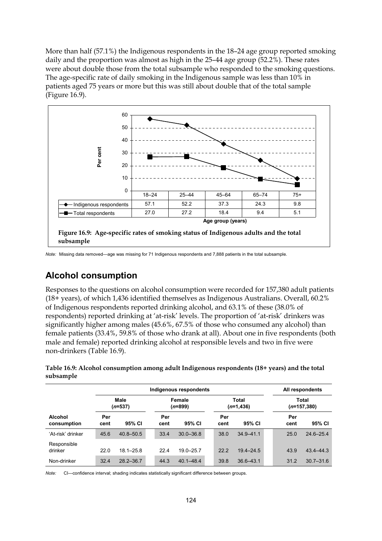More than half (57.1%) the Indigenous respondents in the 18–24 age group reported smoking daily and the proportion was almost as high in the 25–44 age group (52.2%). These rates were about double those from the total subsample who responded to the smoking questions. The age-specific rate of daily smoking in the Indigenous sample was less than 10% in patients aged 75 years or more but this was still about double that of the total sample (Figure 16.9).



*Note:* Missing data removed—age was missing for 71 Indigenous respondents and 7,888 patients in the total subsample.

### **Alcohol consumption**

Responses to the questions on alcohol consumption were recorded for 157,380 adult patients (18+ years), of which 1,436 identified themselves as Indigenous Australians. Overall, 60.2% of Indigenous respondents reported drinking alcohol, and 63.1% of these (38.0% of respondents) reported drinking at 'at-risk' levels. The proportion of 'at-risk' drinkers was significantly higher among males (45.6%, 67.5% of those who consumed any alcohol) than female patients (33.4%, 59.8% of those who drank at all). About one in five respondents (both male and female) reported drinking alcohol at responsible levels and two in five were non-drinkers (Table 16.9).

| Table 16.9: Alcohol consumption among adult Indigenous respondents (18+ years) and the total |  |
|----------------------------------------------------------------------------------------------|--|
| subsample                                                                                    |  |

| Indigenous respondents        |                   |               |  |                     |               |  |                       |               |  | All respondents               |               |  |
|-------------------------------|-------------------|---------------|--|---------------------|---------------|--|-----------------------|---------------|--|-------------------------------|---------------|--|
|                               | Male<br>$(n=537)$ |               |  | Female<br>$(n=899)$ |               |  | Total<br>$(n=1, 436)$ |               |  | Total<br>( <i>n</i> =157,380) |               |  |
| <b>Alcohol</b><br>consumption | Per<br>cent       | 95% CI        |  | Per<br>cent         | 95% CI        |  | Per<br>cent           | 95% CI        |  | Per<br>cent                   | 95% CI        |  |
| 'At-risk' drinker             | 45.6              | $40.8 - 50.5$ |  | 33.4                | $30.0 - 36.8$ |  | 38.0                  | $34.9 - 41.1$ |  | 25.0                          | $24.6 - 25.4$ |  |
| Responsible<br>drinker        | 22.0              | $18.1 - 25.8$ |  | 22.4                | $19.0 - 25.7$ |  | 22.2                  | $19.4 - 24.5$ |  | 43.9                          | $43.4 - 44.3$ |  |
| Non-drinker                   | 32.4              | $28.2 - 36.7$ |  | 44.3                | $40.1 - 48.4$ |  | 39.8                  | $36.6 - 43.1$ |  | 31.2                          | $30.7 - 31.6$ |  |

*Note:* CI—confidence interval; shading indicates statistically significant difference between groups.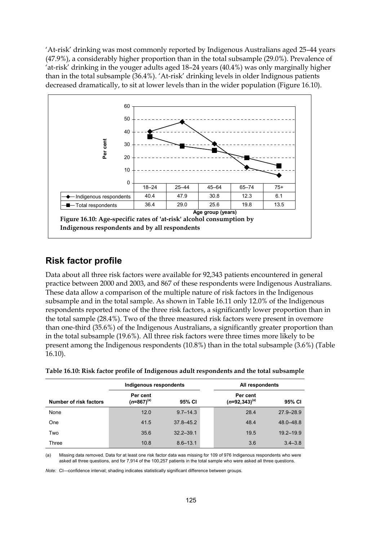'At-risk' drinking was most commonly reported by Indigenous Australians aged 25–44 years (47.9%), a considerably higher proportion than in the total subsample (29.0%). Prevalence of 'at-risk' drinking in the youger adults aged 18–24 years (40.4%) was only marginally higher than in the total subsample (36.4%). 'At-risk' drinking levels in older Indignous patients decreased dramatically, to sit at lower levels than in the wider population (Figure 16.10).



#### **Risk factor profile**

Data about all three risk factors were available for 92,343 patients encountered in general practice between 2000 and 2003, and 867 of these respondents were Indigenous Australians. These data allow a comparison of the multiple nature of risk factors in the Indigenous subsample and in the total sample. As shown in Table 16.11 only 12.0% of the Indigenous respondents reported none of the three risk factors, a significantly lower proportion than in the total sample (28.4%). Two of the three measured risk factors were present in ovemore than one-third (35.6%) of the Indigenous Australians, a significantly greater proportion than in the total subsample (19.6%). All three risk factors were three times more likely to be present among the Indigenous respondents (10.8%) than in the total subsample (3.6%) (Table 16.10).

|                        | Indigenous respondents      |               | All respondents |                                |               |  |
|------------------------|-----------------------------|---------------|-----------------|--------------------------------|---------------|--|
| Number of risk factors | Per cent<br>$(n=867)^{(a)}$ | 95% CI        |                 | Per cent<br>$(n=92,343)^{(a)}$ | 95% CI        |  |
| None                   | 12.0                        | $9.7 - 14.3$  |                 | 28.4                           | $27.9 - 28.9$ |  |
| One                    | 41.5                        | $37.8 - 45.2$ |                 | 48.4                           | 48.0-48.8     |  |
| Two                    | 35.6                        | $32.2 - 39.1$ |                 | 19.5                           | $19.2 - 19.9$ |  |
| Three                  | 10.8                        | $8.6 - 13.1$  |                 | 3.6                            | $3.4 - 3.8$   |  |

**Table 16.10: Risk factor profile of Indigenous adult respondents and the total subsample**

(a) Missing data removed. Data for at least one risk factor data was missing for 109 of 976 Indigenous respondents who were asked all three questions, and for 7,914 of the 100,257 patients in the total sample who were asked all three questions.

*Note:* CI—confidence interval; shading indicates statistically significant difference between groups.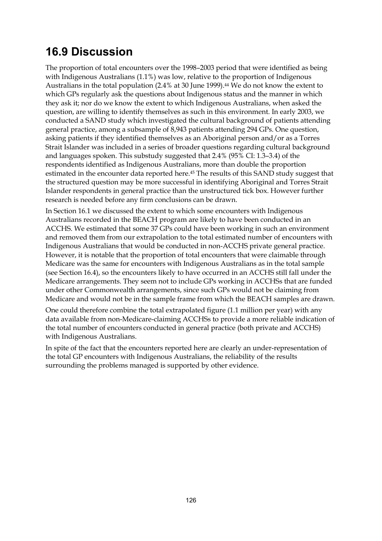## **16.9 Discussion**

The proportion of total encounters over the 1998–2003 period that were identified as being with Indigenous Australians (1.1%) was low, relative to the proportion of Indigenous Australians in the total population (2.4% at 30 June 1999).<sup>44</sup> We do not know the extent to which GPs regularly ask the questions about Indigenous status and the manner in which they ask it; nor do we know the extent to which Indigenous Australians, when asked the question, are willing to identify themselves as such in this environment. In early 2003, we conducted a SAND study which investigated the cultural background of patients attending general practice, among a subsample of 8,943 patients attending 294 GPs. One question, asking patients if they identified themselves as an Aboriginal person and/or as a Torres Strait Islander was included in a series of broader questions regarding cultural background and languages spoken. This substudy suggested that 2.4% (95% CI: 1.3–3.4) of the respondents identified as Indigenous Australians, more than double the proportion estimated in the encounter data reported here.45 The results of this SAND study suggest that the structured question may be more successful in identifying Aboriginal and Torres Strait Islander respondents in general practice than the unstructured tick box. However further research is needed before any firm conclusions can be drawn.

In Section 16.1 we discussed the extent to which some encounters with Indigenous Australians recorded in the BEACH program are likely to have been conducted in an ACCHS. We estimated that some 37 GPs could have been working in such an environment and removed them from our extrapolation to the total estimated number of encounters with Indigenous Australians that would be conducted in non-ACCHS private general practice. However, it is notable that the proportion of total encounters that were claimable through Medicare was the same for encounters with Indigenous Australians as in the total sample (see Section 16.4), so the encounters likely to have occurred in an ACCHS still fall under the Medicare arrangements. They seem not to include GPs working in ACCHSs that are funded under other Commonwealth arrangements, since such GPs would not be claiming from Medicare and would not be in the sample frame from which the BEACH samples are drawn.

One could therefore combine the total extrapolated figure (1.1 million per year) with any data available from non-Medicare-claiming ACCHSs to provide a more reliable indication of the total number of encounters conducted in general practice (both private and ACCHS) with Indigenous Australians.

In spite of the fact that the encounters reported here are clearly an under-representation of the total GP encounters with Indigenous Australians, the reliability of the results surrounding the problems managed is supported by other evidence.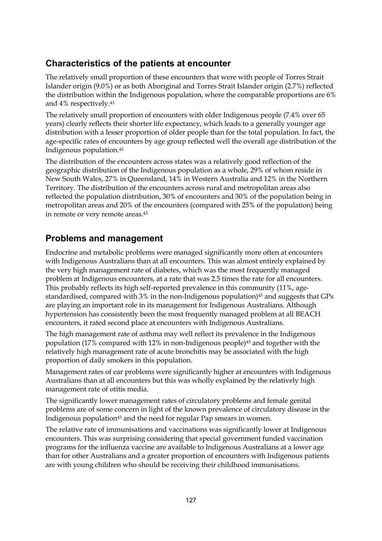### **Characteristics of the patients at encounter**

The relatively small proportion of these encounters that were with people of Torres Strait Islander origin (9.0%) or as both Aboriginal and Torres Strait Islander origin (2.7%) reflected the distribution within the Indigenous population, where the comparable proportions are 6% and 4% respectively.43

The relatively small proportion of encounters with older Indigenous people (7.4% over 65 years) clearly reflects their shorter life expectancy, which leads to a generally younger age distribution with a lesser proportion of older people than for the total population. In fact, the age-specific rates of encounters by age group reflected well the overall age distribution of the Indigenous population.43

The distribution of the encounters across states was a relatively good reflection of the geographic distribution of the Indigenous population as a whole, 29% of whom reside in New South Wales, 27% in Queensland, 14% in Western Australia and 12% in the Northern Territory. The distribution of the encounters across rural and metropolitan areas also reflected the population distribution, 30% of encounters and 30% of the population being in metropolitan areas and 20% of the encounters (compared with 25% of the population) being in remote or very remote areas.43

### **Problems and management**

Endocrine and metabolic problems were managed significantly more often at encounters with Indigenous Australians than at all encounters. This was almost entirely explained by the very high management rate of diabetes, which was the most frequently managed problem at Indigenous encounters, at a rate that was 2.5 times the rate for all encounters. This probably reflects its high self-reported prevalence in this community (11%, agestandardised, compared with 3% in the non-Indigenous population)<sup>43</sup> and suggests that GPs are playing an important role in its management for Indigenous Australians. Although hypertension has consistently been the most frequently managed problem at all BEACH encounters, it rated second place at encounters with Indigenous Australians.

The high management rate of asthma may well reflect its prevalence in the Indigenous population (17% compared with 12% in non-Indigenous people)43 and together with the relatively high management rate of acute bronchitis may be associated with the high proportion of daily smokers in this population.

Management rates of ear problems were significantly higher at encounters with Indigenous Australians than at all encounters but this was wholly explained by the relatively high management rate of otitis media.

The significantly lower management rates of circulatory problems and female genital problems are of some concern in light of the known prevalence of circulatory disease in the Indigenous population<sup>43</sup> and the need for regular Pap smears in women.

The relative rate of immunisations and vaccinations was significantly lower at Indigenous encounters. This was surprising considering that special government funded vaccination programs for the influenza vaccine are available to Indigenous Australians at a lower age than for other Australians and a greater proportion of encounters with Indigenous patients are with young children who should be receiving their childhood immunisations.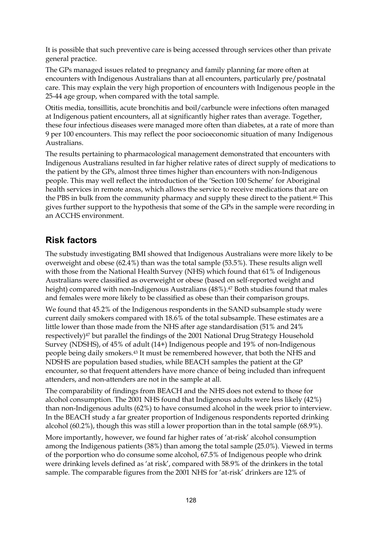It is possible that such preventive care is being accessed through services other than private general practice.

The GPs managed issues related to pregnancy and family planning far more often at encounters with Indigenous Australians than at all encounters, particularly pre/postnatal care. This may explain the very high proportion of encounters with Indigenous people in the 25-44 age group, when compared with the total sample.

Otitis media, tonsillitis, acute bronchitis and boil/carbuncle were infections often managed at Indigenous patient encounters, all at significantly higher rates than average. Together, these four infectious diseases were managed more often than diabetes, at a rate of more than 9 per 100 encounters. This may reflect the poor socioeconomic situation of many Indigenous Australians.

The results pertaining to pharmacological management demonstrated that encounters with Indigenous Australians resulted in far higher relative rates of direct supply of medications to the patient by the GPs, almost three times higher than encounters with non-Indigenous people. This may well reflect the introduction of the 'Section 100 Scheme' for Aboriginal health services in remote areas, which allows the service to receive medications that are on the PBS in bulk from the community pharmacy and supply these direct to the patient.46 This gives further support to the hypothesis that some of the GPs in the sample were recording in an ACCHS environment.

#### **Risk factors**

The substudy investigating BMI showed that Indigenous Australians were more likely to be overweight and obese (62.4%) than was the total sample (53.5%). These results align well with those from the National Health Survey (NHS) which found that 61% of Indigenous Australians were classified as overweight or obese (based on self-reported weight and height) compared with non-Indigenous Australians (48%).<sup>47</sup> Both studies found that males and females were more likely to be classified as obese than their comparison groups.

We found that 45.2% of the Indigenous respondents in the SAND subsample study were current daily smokers compared with 18.6% of the total subsample. These estimates are a little lower than those made from the NHS after age standardisation (51% and 24% respectively)47 but parallel the findings of the 2001 National Drug Strategy Household Survey (NDSHS), of 45% of adult (14+) Indigenous people and 19% of non-Indigenous people being daily smokers.43 It must be remembered however, that both the NHS and NDSHS are population based studies, while BEACH samples the patient at the GP encounter, so that frequent attenders have more chance of being included than infrequent attenders, and non-attenders are not in the sample at all.

The comparability of findings from BEACH and the NHS does not extend to those for alcohol consumption. The 2001 NHS found that Indigenous adults were less likely (42%) than non-Indigenous adults (62%) to have consumed alcohol in the week prior to interview. In the BEACH study a far greater proportion of Indigenous respondents reported drinking alcohol (60.2%), though this was still a lower proportion than in the total sample (68.9%).

More importantly, however, we found far higher rates of 'at-risk' alcohol consumption among the Indigenous patients (38%) than among the total sample (25.0%). Viewed in terms of the porportion who do consume some alcohol, 67.5% of Indigenous people who drink were drinking levels defined as 'at risk', compared with 58.9% of the drinkers in the total sample. The comparable figures from the 2001 NHS for 'at-risk' drinkers are 12% of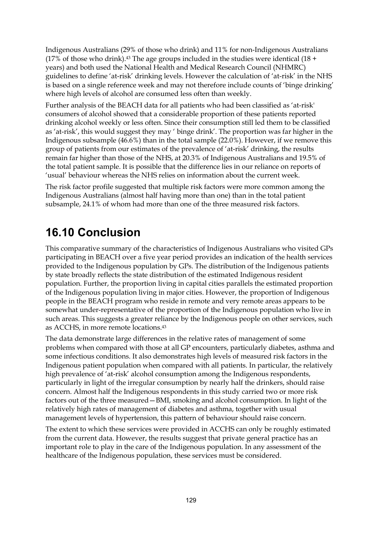Indigenous Australians (29% of those who drink) and 11% for non-Indigenous Australians  $(17\% \text{ of those who drink})$ .<sup>43</sup> The age groups included in the studies were identical  $(18 +$ years) and both used the National Health and Medical Research Council (NHMRC) guidelines to define 'at-risk' drinking levels. However the calculation of 'at-risk' in the NHS is based on a single reference week and may not therefore include counts of 'binge drinking' where high levels of alcohol are consumed less often than weekly.

Further analysis of the BEACH data for all patients who had been classified as 'at-risk' consumers of alcohol showed that a considerable proportion of these patients reported drinking alcohol weekly or less often. Since their consumption still led them to be classified as 'at-risk', this would suggest they may ' binge drink'. The proportion was far higher in the Indigenous subsample (46.6%) than in the total sample (22.0%). However, if we remove this group of patients from our estimates of the prevalence of 'at-risk' drinking, the results remain far higher than those of the NHS, at 20.3% of Indigenous Australians and 19.5% of the total patient sample. It is possible that the difference lies in our reliance on reports of 'usual' behaviour whereas the NHS relies on information about the current week.

The risk factor profile suggested that multiple risk factors were more common among the Indigenous Australians (almost half having more than one) than in the total patient subsample, 24.1% of whom had more than one of the three measured risk factors.

## **16.10 Conclusion**

This comparative summary of the characteristics of Indigenous Australians who visited GPs participating in BEACH over a five year period provides an indication of the health services provided to the Indigenous population by GPs. The distribution of the Indigenous patients by state broadly reflects the state distribution of the estimated Indigenous resident population. Further, the proportion living in capital cities parallels the estimated proportion of the Indigenous population living in major cities. However, the proportion of Indigenous people in the BEACH program who reside in remote and very remote areas appears to be somewhat under-representative of the proportion of the Indigenous population who live in such areas. This suggests a greater reliance by the Indigenous people on other services, such as ACCHS, in more remote locations.43

The data demonstrate large differences in the relative rates of management of some problems when compared with those at all GP encounters, particularly diabetes, asthma and some infectious conditions. It also demonstrates high levels of measured risk factors in the Indigenous patient population when compared with all patients. In particular, the relatively high prevalence of 'at-risk' alcohol consumption among the Indigenous respondents, particularly in light of the irregular consumption by nearly half the drinkers, should raise concern. Almost half the Indigenous respondents in this study carried two or more risk factors out of the three measured—BMI, smoking and alcohol consumption. In light of the relatively high rates of management of diabetes and asthma, together with usual management levels of hypertension, this pattern of behaviour should raise concern.

The extent to which these services were provided in ACCHS can only be roughly estimated from the current data. However, the results suggest that private general practice has an important role to play in the care of the Indigenous population. In any assessment of the healthcare of the Indigenous population, these services must be considered.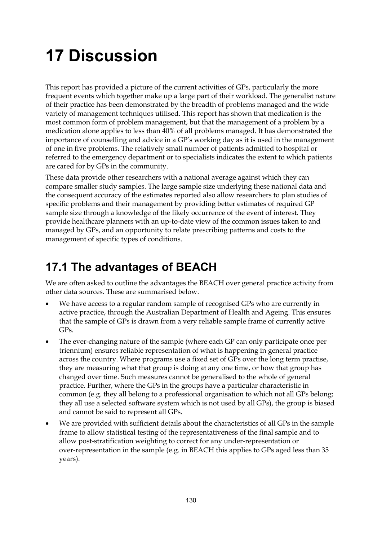# **17 Discussion**

This report has provided a picture of the current activities of GPs, particularly the more frequent events which together make up a large part of their workload. The generalist nature of their practice has been demonstrated by the breadth of problems managed and the wide variety of management techniques utilised. This report has shown that medication is the most common form of problem management, but that the management of a problem by a medication alone applies to less than 40% of all problems managed. It has demonstrated the importance of counselling and advice in a GP's working day as it is used in the management of one in five problems. The relatively small number of patients admitted to hospital or referred to the emergency department or to specialists indicates the extent to which patients are cared for by GPs in the community.

These data provide other researchers with a national average against which they can compare smaller study samples. The large sample size underlying these national data and the consequent accuracy of the estimates reported also allow researchers to plan studies of specific problems and their management by providing better estimates of required GP sample size through a knowledge of the likely occurrence of the event of interest. They provide healthcare planners with an up-to-date view of the common issues taken to and managed by GPs, and an opportunity to relate prescribing patterns and costs to the management of specific types of conditions.

# **17.1 The advantages of BEACH**

We are often asked to outline the advantages the BEACH over general practice activity from other data sources. These are summarised below.

- We have access to a regular random sample of recognised GPs who are currently in active practice, through the Australian Department of Health and Ageing. This ensures that the sample of GPs is drawn from a very reliable sample frame of currently active GPs.
- The ever-changing nature of the sample (where each GP can only participate once per triennium) ensures reliable representation of what is happening in general practice across the country. Where programs use a fixed set of GPs over the long term practise, they are measuring what that group is doing at any one time, or how that group has changed over time. Such measures cannot be generalised to the whole of general practice. Further, where the GPs in the groups have a particular characteristic in common (e.g. they all belong to a professional organisation to which not all GPs belong; they all use a selected software system which is not used by all GPs), the group is biased and cannot be said to represent all GPs.
- We are provided with sufficient details about the characteristics of all GPs in the sample frame to allow statistical testing of the representativeness of the final sample and to allow post-stratification weighting to correct for any under-representation or over-representation in the sample (e.g. in BEACH this applies to GPs aged less than 35 years).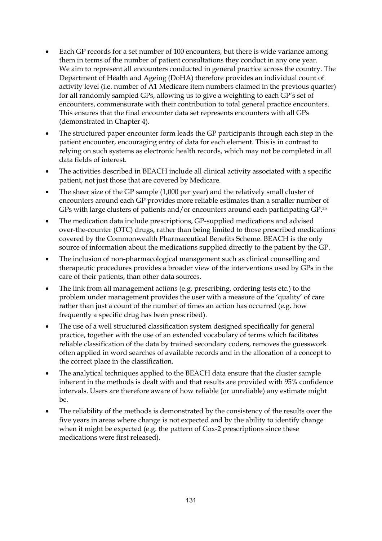- Each GP records for a set number of 100 encounters, but there is wide variance among them in terms of the number of patient consultations they conduct in any one year. We aim to represent all encounters conducted in general practice across the country. The Department of Health and Ageing (DoHA) therefore provides an individual count of activity level (i.e. number of A1 Medicare item numbers claimed in the previous quarter) for all randomly sampled GPs, allowing us to give a weighting to each GP's set of encounters, commensurate with their contribution to total general practice encounters. This ensures that the final encounter data set represents encounters with all GPs (demonstrated in Chapter 4).
- The structured paper encounter form leads the GP participants through each step in the patient encounter, encouraging entry of data for each element. This is in contrast to relying on such systems as electronic health records, which may not be completed in all data fields of interest.
- The activities described in BEACH include all clinical activity associated with a specific patient, not just those that are covered by Medicare.
- The sheer size of the GP sample (1,000 per year) and the relatively small cluster of encounters around each GP provides more reliable estimates than a smaller number of GPs with large clusters of patients and/or encounters around each participating GP.25
- The medication data include prescriptions, GP-supplied medications and advised over-the-counter (OTC) drugs, rather than being limited to those prescribed medications covered by the Commonwealth Pharmaceutical Benefits Scheme. BEACH is the only source of information about the medications supplied directly to the patient by the GP.
- The inclusion of non-pharmacological management such as clinical counselling and therapeutic procedures provides a broader view of the interventions used by GPs in the care of their patients, than other data sources.
- The link from all management actions (e.g. prescribing, ordering tests etc.) to the problem under management provides the user with a measure of the 'quality' of care rather than just a count of the number of times an action has occurred (e.g. how frequently a specific drug has been prescribed).
- The use of a well structured classification system designed specifically for general practice, together with the use of an extended vocabulary of terms which facilitates reliable classification of the data by trained secondary coders, removes the guesswork often applied in word searches of available records and in the allocation of a concept to the correct place in the classification.
- The analytical techniques applied to the BEACH data ensure that the cluster sample inherent in the methods is dealt with and that results are provided with 95% confidence intervals. Users are therefore aware of how reliable (or unreliable) any estimate might be.
- The reliability of the methods is demonstrated by the consistency of the results over the five years in areas where change is not expected and by the ability to identify change when it might be expected (e.g. the pattern of Cox-2 prescriptions since these medications were first released).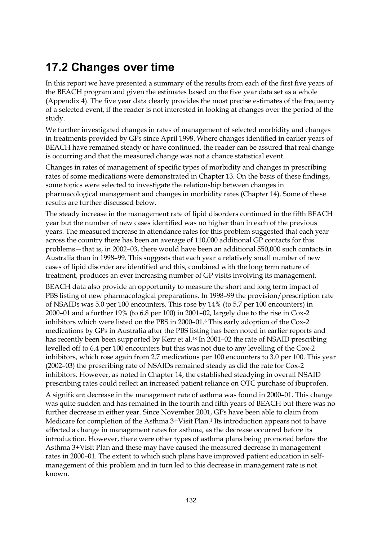# **17.2 Changes over time**

In this report we have presented a summary of the results from each of the first five years of the BEACH program and given the estimates based on the five year data set as a whole (Appendix 4). The five year data clearly provides the most precise estimates of the frequency of a selected event, if the reader is not interested in looking at changes over the period of the study.

We further investigated changes in rates of management of selected morbidity and changes in treatments provided by GPs since April 1998. Where changes identified in earlier years of BEACH have remained steady or have continued, the reader can be assured that real change is occurring and that the measured change was not a chance statistical event.

Changes in rates of management of specific types of morbidity and changes in prescribing rates of some medications were demonstrated in Chapter 13. On the basis of these findings, some topics were selected to investigate the relationship between changes in pharmacological management and changes in morbidity rates (Chapter 14). Some of these results are further discussed below.

The steady increase in the management rate of lipid disorders continued in the fifth BEACH year but the number of new cases identified was no higher than in each of the previous years. The measured increase in attendance rates for this problem suggested that each year across the country there has been an average of 110,000 additional GP contacts for this problems—that is, in 2002–03, there would have been an additional 550,000 such contacts in Australia than in 1998–99. This suggests that each year a relatively small number of new cases of lipid disorder are identified and this, combined with the long term nature of treatment, produces an ever increasing number of GP visits involving its management.

BEACH data also provide an opportunity to measure the short and long term impact of PBS listing of new pharmacological preparations. In 1998–99 the provision/prescription rate of NSAIDs was 5.0 per 100 encounters. This rose by 14% (to 5.7 per 100 encounters) in 2000–01 and a further 19% (to 6.8 per 100) in 2001–02, largely due to the rise in Cox-2 inhibitors which were listed on the PBS in 2000–01.6 This early adoption of the Cox-2 medications by GPs in Australia after the PBS listing has been noted in earlier reports and has recently been been supported by Kerr et al.<sup>48</sup> In 2001-02 the rate of NSAID prescribing levelled off to 6.4 per 100 encounters but this was not due to any levelling of the Cox-2 inhibitors, which rose again from 2.7 medications per 100 encounters to 3.0 per 100. This year (2002–03) the prescribing rate of NSAIDs remained steady as did the rate for Cox-2 inhibitors. However, as noted in Chapter 14, the established steadying in overall NSAID prescribing rates could reflect an increased patient reliance on OTC purchase of ibuprofen.

A significant decrease in the management rate of asthma was found in 2000–01. This change was quite sudden and has remained in the fourth and fifth years of BEACH but there was no further decrease in either year. Since November 2001, GPs have been able to claim from Medicare for completion of the Asthma 3+Visit Plan.1 Its introduction appears not to have affected a change in management rates for asthma, as the decrease occurred before its introduction. However, there were other types of asthma plans being promoted before the Asthma 3+Visit Plan and these may have caused the measured decrease in management rates in 2000–01. The extent to which such plans have improved patient education in selfmanagement of this problem and in turn led to this decrease in management rate is not known.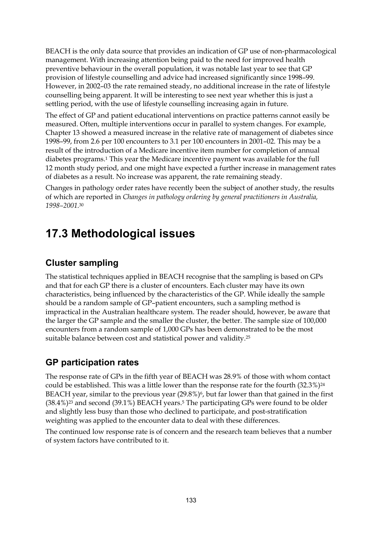BEACH is the only data source that provides an indication of GP use of non-pharmacological management. With increasing attention being paid to the need for improved health preventive behaviour in the overall population, it was notable last year to see that GP provision of lifestyle counselling and advice had increased significantly since 1998–99. However, in 2002–03 the rate remained steady, no additional increase in the rate of lifestyle counselling being apparent. It will be interesting to see next year whether this is just a settling period, with the use of lifestyle counselling increasing again in future.

The effect of GP and patient educational interventions on practice patterns cannot easily be measured. Often, multiple interventions occur in parallel to system changes. For example, Chapter 13 showed a measured increase in the relative rate of management of diabetes since 1998–99, from 2.6 per 100 encounters to 3.1 per 100 encounters in 2001–02. This may be a result of the introduction of a Medicare incentive item number for completion of annual diabetes programs.1 This year the Medicare incentive payment was available for the full 12 month study period, and one might have expected a further increase in management rates of diabetes as a result. No increase was apparent, the rate remaining steady.

Changes in pathology order rates have recently been the subject of another study, the results of which are reported in *Changes in pathology ordering by general practitioners in Australia, 1998–2001*.30

### **17.3 Methodological issues**

### **Cluster sampling**

The statistical techniques applied in BEACH recognise that the sampling is based on GPs and that for each GP there is a cluster of encounters. Each cluster may have its own characteristics, being influenced by the characteristics of the GP. While ideally the sample should be a random sample of GP–patient encounters, such a sampling method is impractical in the Australian healthcare system. The reader should, however, be aware that the larger the GP sample and the smaller the cluster, the better. The sample size of 100,000 encounters from a random sample of 1,000 GPs has been demonstrated to be the most suitable balance between cost and statistical power and validity.25

### **GP participation rates**

The response rate of GPs in the fifth year of BEACH was 28.9% of those with whom contact could be established. This was a little lower than the response rate for the fourth  $(32.3\%)^{24}$ BEACH year, similar to the previous year  $(29.8\%)$ <sup>6</sup>, but far lower than that gained in the first  $(38.4\%)$ <sup>23</sup> and second  $(39.1\%)$  BEACH years.<sup>5</sup> The participating GPs were found to be older and slightly less busy than those who declined to participate, and post-stratification weighting was applied to the encounter data to deal with these differences.

The continued low response rate is of concern and the research team believes that a number of system factors have contributed to it.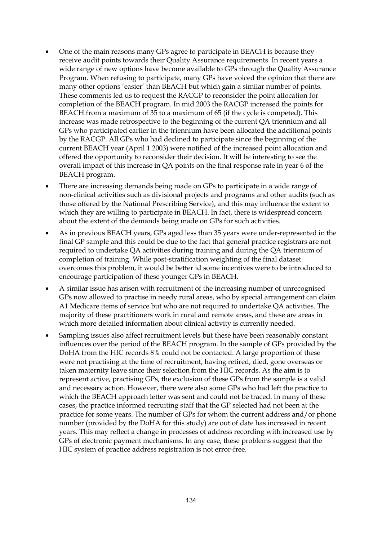- One of the main reasons many GPs agree to participate in BEACH is because they receive audit points towards their Quality Assurance requirements. In recent years a wide range of new options have become available to GPs through the Quality Assurance Program. When refusing to participate, many GPs have voiced the opinion that there are many other options 'easier' than BEACH but which gain a similar number of points. These comments led us to request the RACGP to reconsider the point allocation for completion of the BEACH program. In mid 2003 the RACGP increased the points for BEACH from a maximum of 35 to a maximum of 65 (if the cycle is competed). This increase was made retrospective to the beginning of the current QA triennium and all GPs who participated earlier in the triennium have been allocated the additional points by the RACGP. All GPs who had declined to participate since the beginning of the current BEACH year (April 1 2003) were notified of the increased point allocation and offered the opportunity to reconsider their decision. It will be interesting to see the overall impact of this increase in QA points on the final response rate in year 6 of the BEACH program.
- There are increasing demands being made on GPs to participate in a wide range of non-clinical activities such as divisional projects and programs and other audits (such as those offered by the National Prescribing Service), and this may influence the extent to which they are willing to participate in BEACH. In fact, there is widespread concern about the extent of the demands being made on GPs for such activities.
- As in previous BEACH years, GPs aged less than 35 years were under-represented in the final GP sample and this could be due to the fact that general practice registrars are not required to undertake QA activities during training and during the QA triennium of completion of training. While post-stratification weighting of the final dataset overcomes this problem, it would be better id some incentives were to be introduced to encourage participation of these younger GPs in BEACH.
- A similar issue has arisen with recruitment of the increasing number of unrecognised GPs now allowed to practise in needy rural areas, who by special arrangement can claim A1 Medicare items of service but who are not required to undertake QA activities. The majority of these practitioners work in rural and remote areas, and these are areas in which more detailed information about clinical activity is currently needed.
- Sampling issues also affect recruitment levels but these have been reasonably constant influences over the period of the BEACH program. In the sample of GPs provided by the DoHA from the HIC records 8% could not be contacted. A large proportion of these were not practising at the time of recruitment, having retired, died, gone overseas or taken maternity leave since their selection from the HIC records. As the aim is to represent active, practising GPs, the exclusion of these GPs from the sample is a valid and necessary action. However, there were also some GPs who had left the practice to which the BEACH approach letter was sent and could not be traced. In many of these cases, the practice informed recruiting staff that the GP selected had not been at the practice for some years. The number of GPs for whom the current address and/or phone number (provided by the DoHA for this study) are out of date has increased in recent years. This may reflect a change in processes of address recording with increased use by GPs of electronic payment mechanisms. In any case, these problems suggest that the HIC system of practice address registration is not error-free.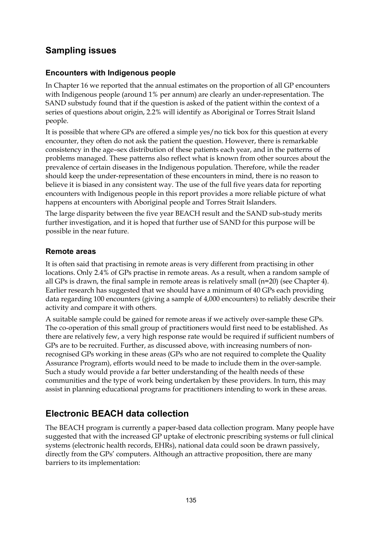### **Sampling issues**

#### **Encounters with Indigenous people**

In Chapter 16 we reported that the annual estimates on the proportion of all GP encounters with Indigenous people (around 1% per annum) are clearly an under-representation. The SAND substudy found that if the question is asked of the patient within the context of a series of questions about origin, 2.2% will identify as Aboriginal or Torres Strait Island people.

It is possible that where GPs are offered a simple yes/no tick box for this question at every encounter, they often do not ask the patient the question. However, there is remarkable consistency in the age–sex distribution of these patients each year, and in the patterns of problems managed. These patterns also reflect what is known from other sources about the prevalence of certain diseases in the Indigenous population. Therefore, while the reader should keep the under-representation of these encounters in mind, there is no reason to believe it is biased in any consistent way. The use of the full five years data for reporting encounters with Indigenous people in this report provides a more reliable picture of what happens at encounters with Aboriginal people and Torres Strait Islanders.

The large disparity between the five year BEACH result and the SAND sub-study merits further investigation, and it is hoped that further use of SAND for this purpose will be possible in the near future.

#### **Remote areas**

It is often said that practising in remote areas is very different from practising in other locations. Only 2.4% of GPs practise in remote areas. As a result, when a random sample of all GPs is drawn, the final sample in remote areas is relatively small  $(n=20)$  (see Chapter 4). Earlier research has suggested that we should have a minimum of 40 GPs each providing data regarding 100 encounters (giving a sample of 4,000 encounters) to reliably describe their activity and compare it with others.

A suitable sample could be gained for remote areas if we actively over-sample these GPs. The co-operation of this small group of practitioners would first need to be established. As there are relatively few, a very high response rate would be required if sufficient numbers of GPs are to be recruited. Further, as discussed above, with increasing numbers of nonrecognised GPs working in these areas (GPs who are not required to complete the Quality Assurance Program), efforts would need to be made to include them in the over-sample. Such a study would provide a far better understanding of the health needs of these communities and the type of work being undertaken by these providers. In turn, this may assist in planning educational programs for practitioners intending to work in these areas.

### **Electronic BEACH data collection**

The BEACH program is currently a paper-based data collection program. Many people have suggested that with the increased GP uptake of electronic prescribing systems or full clinical systems (electronic health records, EHRs), national data could soon be drawn passively, directly from the GPs' computers. Although an attractive proposition, there are many barriers to its implementation: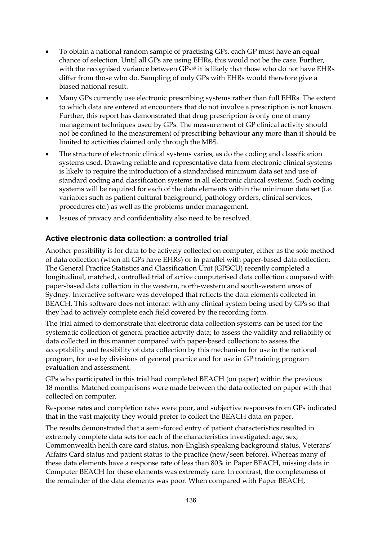- To obtain a national random sample of practising GPs, each GP must have an equal chance of selection. Until all GPs are using EHRs, this would not be the case. Further, with the recognised variance between GPs<sup>49</sup> it is likely that those who do not have EHRs differ from those who do. Sampling of only GPs with EHRs would therefore give a biased national result.
- Many GPs currently use electronic prescribing systems rather than full EHRs. The extent to which data are entered at encounters that do not involve a prescription is not known. Further, this report has demonstrated that drug prescription is only one of many management techniques used by GPs. The measurement of GP clinical activity should not be confined to the measurement of prescribing behaviour any more than it should be limited to activities claimed only through the MBS.
- The structure of electronic clinical systems varies, as do the coding and classification systems used. Drawing reliable and representative data from electronic clinical systems is likely to require the introduction of a standardised minimum data set and use of standard coding and classification systems in all electronic clinical systems. Such coding systems will be required for each of the data elements within the minimum data set (i.e. variables such as patient cultural background, pathology orders, clinical services, procedures etc.) as well as the problems under management.
- Issues of privacy and confidentiality also need to be resolved.

#### **Active electronic data collection: a controlled trial**

Another possibility is for data to be actively collected on computer, either as the sole method of data collection (when all GPs have EHRs) or in parallel with paper-based data collection. The General Practice Statistics and Classification Unit (GPSCU) recently completed a longitudinal, matched, controlled trial of active computerised data collection compared with paper-based data collection in the western, north-western and south-western areas of Sydney. Interactive software was developed that reflects the data elements collected in BEACH. This software does not interact with any clinical system being used by GPs so that they had to actively complete each field covered by the recording form.

The trial aimed to demonstrate that electronic data collection systems can be used for the systematic collection of general practice activity data; to assess the validity and reliability of data collected in this manner compared with paper-based collection; to assess the acceptability and feasibility of data collection by this mechanism for use in the national program, for use by divisions of general practice and for use in GP training program evaluation and assessment.

GPs who participated in this trial had completed BEACH (on paper) within the previous 18 months. Matched comparisons were made between the data collected on paper with that collected on computer.

Response rates and completion rates were poor, and subjective responses from GPs indicated that in the vast majority they would prefer to collect the BEACH data on paper.

The results demonstrated that a semi-forced entry of patient characteristics resulted in extremely complete data sets for each of the characteristics investigated: age, sex, Commonwealth health care card status, non-English speaking background status, Veterans' Affairs Card status and patient status to the practice (new/seen before). Whereas many of these data elements have a response rate of less than 80% in Paper BEACH, missing data in Computer BEACH for these elements was extremely rare. In contrast, the completeness of the remainder of the data elements was poor. When compared with Paper BEACH,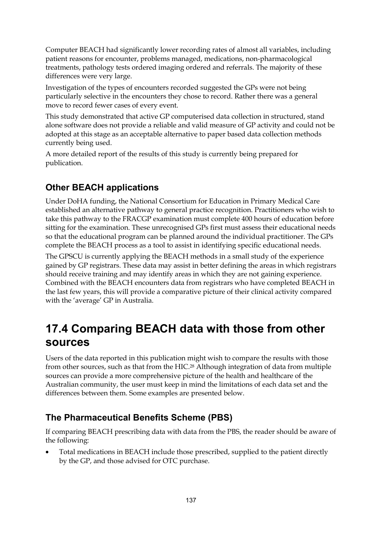Computer BEACH had significantly lower recording rates of almost all variables, including patient reasons for encounter, problems managed, medications, non-pharmacological treatments, pathology tests ordered imaging ordered and referrals. The majority of these differences were very large.

Investigation of the types of encounters recorded suggested the GPs were not being particularly selective in the encounters they chose to record. Rather there was a general move to record fewer cases of every event.

This study demonstrated that active GP computerised data collection in structured, stand alone software does not provide a reliable and valid measure of GP activity and could not be adopted at this stage as an acceptable alternative to paper based data collection methods currently being used.

A more detailed report of the results of this study is currently being prepared for publication.

### **Other BEACH applications**

Under DoHA funding, the National Consortium for Education in Primary Medical Care established an alternative pathway to general practice recognition. Practitioners who wish to take this pathway to the FRACGP examination must complete 400 hours of education before sitting for the examination. These unrecognised GPs first must assess their educational needs so that the educational program can be planned around the individual practitioner. The GPs complete the BEACH process as a tool to assist in identifying specific educational needs.

The GPSCU is currently applying the BEACH methods in a small study of the experience gained by GP registrars. These data may assist in better defining the areas in which registrars should receive training and may identify areas in which they are not gaining experience. Combined with the BEACH encounters data from registrars who have completed BEACH in the last few years, this will provide a comparative picture of their clinical activity compared with the 'average' GP in Australia.

## **17.4 Comparing BEACH data with those from other sources**

Users of the data reported in this publication might wish to compare the results with those from other sources, such as that from the HIC.<sup>28</sup> Although integration of data from multiple sources can provide a more comprehensive picture of the health and healthcare of the Australian community, the user must keep in mind the limitations of each data set and the differences between them. Some examples are presented below.

### **The Pharmaceutical Benefits Scheme (PBS)**

If comparing BEACH prescribing data with data from the PBS, the reader should be aware of the following:

 Total medications in BEACH include those prescribed, supplied to the patient directly by the GP, and those advised for OTC purchase.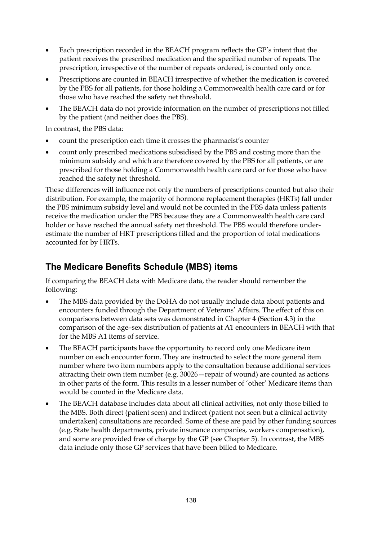- Each prescription recorded in the BEACH program reflects the GP's intent that the patient receives the prescribed medication and the specified number of repeats. The prescription, irrespective of the number of repeats ordered, is counted only once.
- Prescriptions are counted in BEACH irrespective of whether the medication is covered by the PBS for all patients, for those holding a Commonwealth health care card or for those who have reached the safety net threshold.
- The BEACH data do not provide information on the number of prescriptions not filled by the patient (and neither does the PBS).

In contrast, the PBS data:

- count the prescription each time it crosses the pharmacist's counter
- count only prescribed medications subsidised by the PBS and costing more than the minimum subsidy and which are therefore covered by the PBS for all patients, or are prescribed for those holding a Commonwealth health care card or for those who have reached the safety net threshold.

These differences will influence not only the numbers of prescriptions counted but also their distribution. For example, the majority of hormone replacement therapies (HRTs) fall under the PBS minimum subsidy level and would not be counted in the PBS data unless patients receive the medication under the PBS because they are a Commonwealth health care card holder or have reached the annual safety net threshold. The PBS would therefore underestimate the number of HRT prescriptions filled and the proportion of total medications accounted for by HRTs.

### **The Medicare Benefits Schedule (MBS) items**

If comparing the BEACH data with Medicare data, the reader should remember the following:

- The MBS data provided by the DoHA do not usually include data about patients and encounters funded through the Department of Veterans' Affairs. The effect of this on comparisons between data sets was demonstrated in Chapter 4 (Section 4.3) in the comparison of the age–sex distribution of patients at A1 encounters in BEACH with that for the MBS A1 items of service.
- The BEACH participants have the opportunity to record only one Medicare item number on each encounter form. They are instructed to select the more general item number where two item numbers apply to the consultation because additional services attracting their own item number (e.g. 30026—repair of wound) are counted as actions in other parts of the form. This results in a lesser number of 'other' Medicare items than would be counted in the Medicare data.
- The BEACH database includes data about all clinical activities, not only those billed to the MBS. Both direct (patient seen) and indirect (patient not seen but a clinical activity undertaken) consultations are recorded. Some of these are paid by other funding sources (e.g. State health departments, private insurance companies, workers compensation), and some are provided free of charge by the GP (see Chapter 5). In contrast, the MBS data include only those GP services that have been billed to Medicare.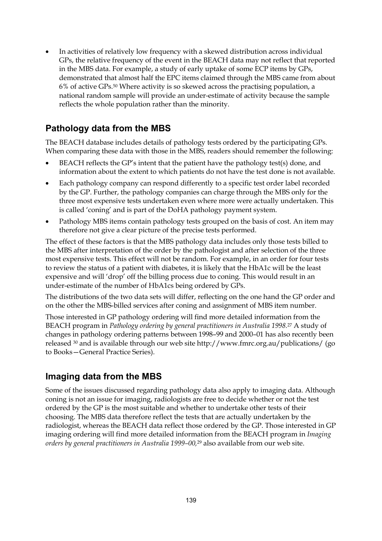In activities of relatively low frequency with a skewed distribution across individual GPs, the relative frequency of the event in the BEACH data may not reflect that reported in the MBS data. For example, a study of early uptake of some ECP items by GPs, demonstrated that almost half the EPC items claimed through the MBS came from about 6% of active GPs.50 Where activity is so skewed across the practising population, a national random sample will provide an under-estimate of activity because the sample reflects the whole population rather than the minority.

#### **Pathology data from the MBS**

The BEACH database includes details of pathology tests ordered by the participating GPs. When comparing these data with those in the MBS, readers should remember the following:

- BEACH reflects the GP's intent that the patient have the pathology test(s) done, and information about the extent to which patients do not have the test done is not available.
- Each pathology company can respond differently to a specific test order label recorded by the GP. Further, the pathology companies can charge through the MBS only for the three most expensive tests undertaken even where more were actually undertaken. This is called 'coning' and is part of the DoHA pathology payment system.
- Pathology MBS items contain pathology tests grouped on the basis of cost. An item may therefore not give a clear picture of the precise tests performed.

The effect of these factors is that the MBS pathology data includes only those tests billed to the MBS after interpretation of the order by the pathologist and after selection of the three most expensive tests. This effect will not be random. For example, in an order for four tests to review the status of a patient with diabetes, it is likely that the HbA1c will be the least expensive and will 'drop' off the billing process due to coning. This would result in an under-estimate of the number of HbA1cs being ordered by GPs.

The distributions of the two data sets will differ, reflecting on the one hand the GP order and on the other the MBS-billed services after coning and assignment of MBS item number.

Those interested in GP pathology ordering will find more detailed information from the BEACH program in *Pathology ordering by general practitioners in Australia 1998.*27 A study of changes in pathology ordering patterns between 1998–99 and 2000–01 has also recently been released 30 and is available through our web site http://www.fmrc.org.au/publications/ (go to Books—General Practice Series).

#### **Imaging data from the MBS**

Some of the issues discussed regarding pathology data also apply to imaging data. Although coning is not an issue for imaging, radiologists are free to decide whether or not the test ordered by the GP is the most suitable and whether to undertake other tests of their choosing. The MBS data therefore reflect the tests that are actually undertaken by the radiologist, whereas the BEACH data reflect those ordered by the GP. Those interested in GP imaging ordering will find more detailed information from the BEACH program in *Imaging orders by general practitioners in Australia 1999–00,*29 also available from our web site.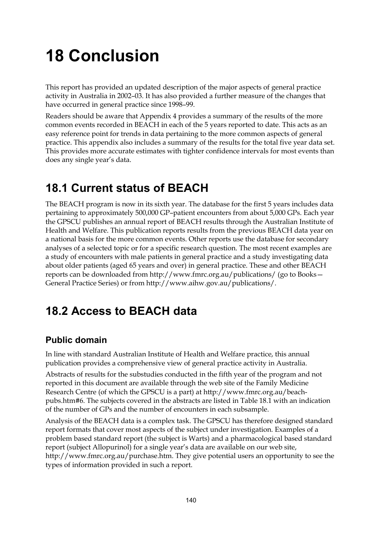# **18 Conclusion**

This report has provided an updated description of the major aspects of general practice activity in Australia in 2002–03. It has also provided a further measure of the changes that have occurred in general practice since 1998–99.

Readers should be aware that Appendix 4 provides a summary of the results of the more common events recorded in BEACH in each of the 5 years reported to date. This acts as an easy reference point for trends in data pertaining to the more common aspects of general practice. This appendix also includes a summary of the results for the total five year data set. This provides more accurate estimates with tighter confidence intervals for most events than does any single year's data.

# **18.1 Current status of BEACH**

The BEACH program is now in its sixth year. The database for the first 5 years includes data pertaining to approximately 500,000 GP–patient encounters from about 5,000 GPs. Each year the GPSCU publishes an annual report of BEACH results through the Australian Institute of Health and Welfare. This publication reports results from the previous BEACH data year on a national basis for the more common events. Other reports use the database for secondary analyses of a selected topic or for a specific research question. The most recent examples are a study of encounters with male patients in general practice and a study investigating data about older patients (aged 65 years and over) in general practice. These and other BEACH reports can be downloaded from http://www.fmrc.org.au/publications/ (go to Books— General Practice Series) or from http://www.aihw.gov.au/publications/.

### **18.2 Access to BEACH data**

### **Public domain**

In line with standard Australian Institute of Health and Welfare practice, this annual publication provides a comprehensive view of general practice activity in Australia.

Abstracts of results for the substudies conducted in the fifth year of the program and not reported in this document are available through the web site of the Family Medicine Research Centre (of which the GPSCU is a part) at http://www.fmrc.org.au/beachpubs.htm#6. The subjects covered in the abstracts are listed in Table 18.1 with an indication of the number of GPs and the number of encounters in each subsample.

Analysis of the BEACH data is a complex task. The GPSCU has therefore designed standard report formats that cover most aspects of the subject under investigation. Examples of a problem based standard report (the subject is Warts) and a pharmacological based standard report (subject Allopurinol) for a single year's data are available on our web site, http://www.fmrc.org.au/purchase.htm. They give potential users an opportunity to see the types of information provided in such a report.